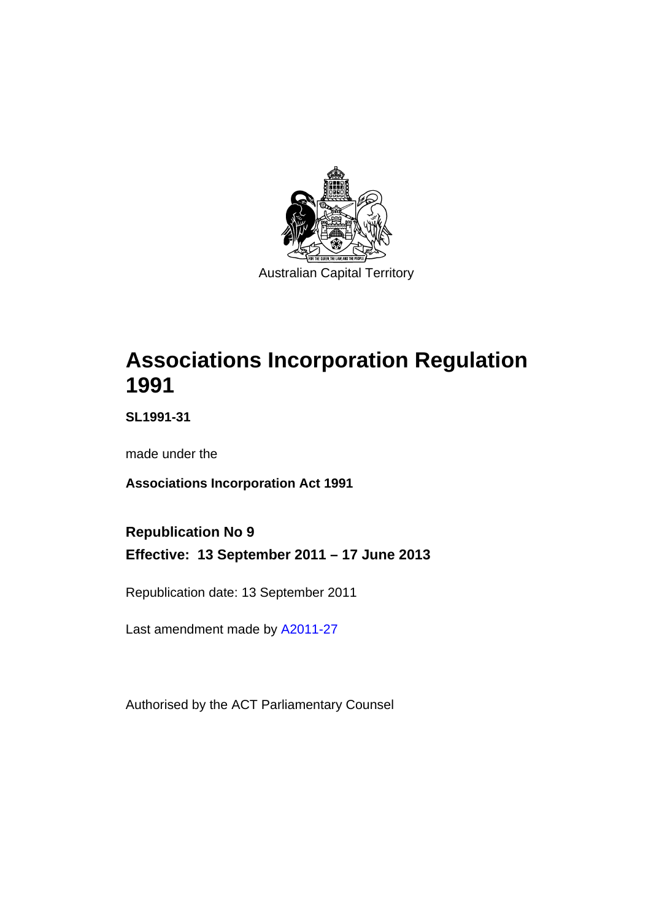

# **Associations Incorporation Regulation 1991**

**SL1991-31** 

made under the

**Associations Incorporation Act 1991** 

**Republication No 9 Effective: 13 September 2011 – 17 June 2013** 

Republication date: 13 September 2011

Last amendment made by [A2011-27](http://www.legislation.act.gov.au/a/2011-27)

Authorised by the ACT Parliamentary Counsel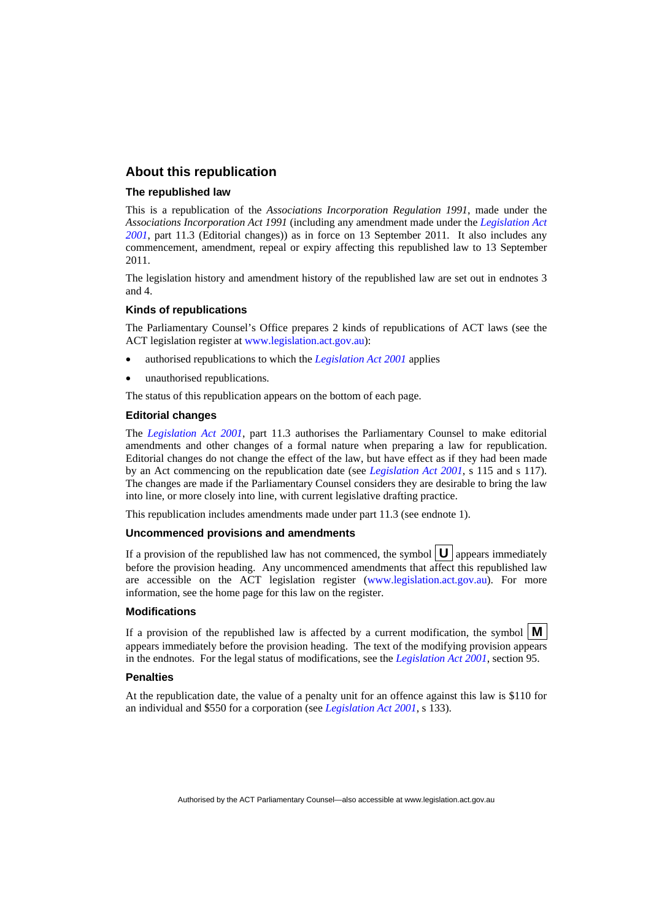#### **About this republication**

#### **The republished law**

This is a republication of the *Associations Incorporation Regulation 1991*, made under the *Associations Incorporation Act 1991* (including any amendment made under the *[Legislation Act](http://www.legislation.act.gov.au/a/2001-14)  [2001](http://www.legislation.act.gov.au/a/2001-14)*, part 11.3 (Editorial changes)) as in force on 13 September 2011*.* It also includes any commencement, amendment, repeal or expiry affecting this republished law to 13 September 2011.

The legislation history and amendment history of the republished law are set out in endnotes 3 and 4.

#### **Kinds of republications**

The Parliamentary Counsel's Office prepares 2 kinds of republications of ACT laws (see the ACT legislation register at [www.legislation.act.gov.au](http://www.legislation.act.gov.au/)):

- authorised republications to which the *[Legislation Act 2001](http://www.legislation.act.gov.au/a/2001-14)* applies
- unauthorised republications.

The status of this republication appears on the bottom of each page.

#### **Editorial changes**

The *[Legislation Act 2001](http://www.legislation.act.gov.au/a/2001-14)*, part 11.3 authorises the Parliamentary Counsel to make editorial amendments and other changes of a formal nature when preparing a law for republication. Editorial changes do not change the effect of the law, but have effect as if they had been made by an Act commencing on the republication date (see *[Legislation Act 2001](http://www.legislation.act.gov.au/a/2001-14)*, s 115 and s 117). The changes are made if the Parliamentary Counsel considers they are desirable to bring the law into line, or more closely into line, with current legislative drafting practice.

This republication includes amendments made under part 11.3 (see endnote 1).

#### **Uncommenced provisions and amendments**

If a provision of the republished law has not commenced, the symbol  $\mathbf{U}$  appears immediately before the provision heading. Any uncommenced amendments that affect this republished law are accessible on the ACT legislation register [\(www.legislation.act.gov.au\)](http://www.legislation.act.gov.au/). For more information, see the home page for this law on the register.

#### **Modifications**

If a provision of the republished law is affected by a current modification, the symbol  $\mathbf{M}$ appears immediately before the provision heading. The text of the modifying provision appears in the endnotes. For the legal status of modifications, see the *[Legislation Act 2001](http://www.legislation.act.gov.au/a/2001-14)*, section 95.

#### **Penalties**

At the republication date, the value of a penalty unit for an offence against this law is \$110 for an individual and \$550 for a corporation (see *[Legislation Act 2001](http://www.legislation.act.gov.au/a/2001-14)*, s 133).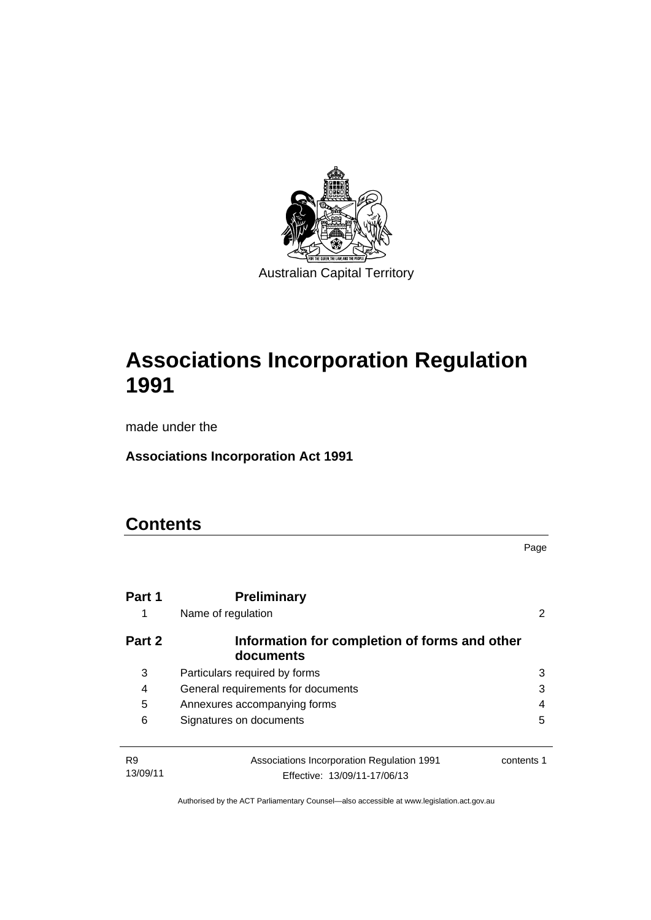

# **Associations Incorporation Regulation 1991**

made under the

**Associations Incorporation Act 1991** 

# **Contents**

|             |                                                            | Page       |
|-------------|------------------------------------------------------------|------------|
| Part 1<br>1 | <b>Preliminary</b><br>Name of regulation                   |            |
| Part 2      | Information for completion of forms and other<br>documents |            |
| 3           | Particulars required by forms                              | 3          |
| 4           | General requirements for documents                         | 3          |
| 5           | Annexures accompanying forms                               | 4          |
| 6           | Signatures on documents                                    | 5          |
|             |                                                            |            |
| R9          | Associations Incorporation Regulation 1991                 | contents 1 |
| 13/09/11    | Effective: 13/09/11-17/06/13                               |            |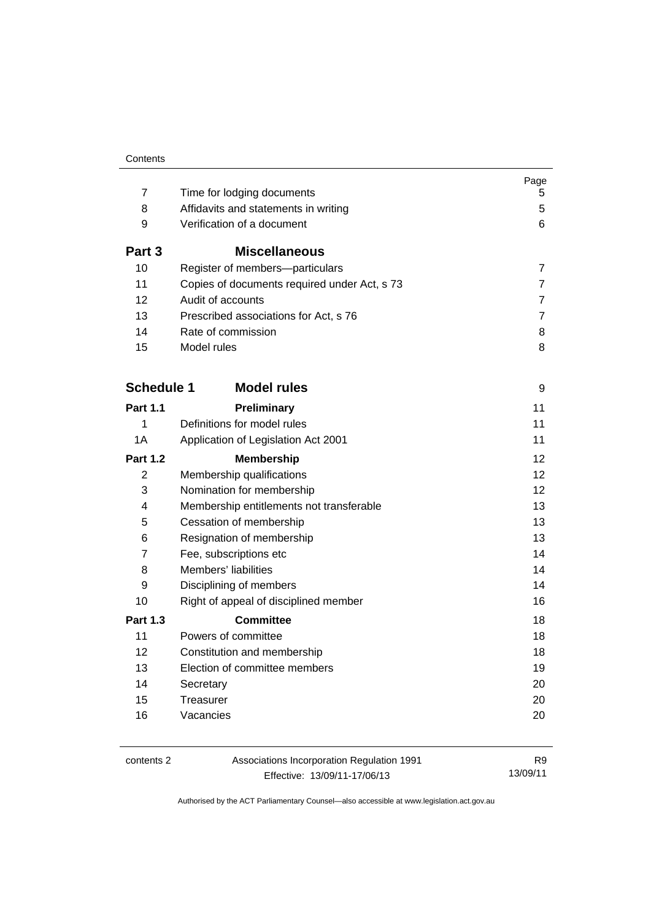|                   |                                              | Page           |
|-------------------|----------------------------------------------|----------------|
| 7<br>8            | Time for lodging documents                   | 5<br>5         |
|                   | Affidavits and statements in writing         |                |
| 9                 | Verification of a document                   | 6              |
| Part 3            | <b>Miscellaneous</b>                         |                |
| 10                | Register of members-particulars              | 7              |
| 11                | Copies of documents required under Act, s 73 | 7              |
| 12                | Audit of accounts                            | 7              |
| 13                | Prescribed associations for Act, s 76        | $\overline{7}$ |
| 14                | Rate of commission                           | 8              |
| 15                | Model rules                                  | 8              |
| <b>Schedule 1</b> | <b>Model rules</b>                           | 9              |
|                   |                                              |                |
| <b>Part 1.1</b>   | Preliminary                                  | 11             |
| 1                 | Definitions for model rules                  | 11             |
| 1A                | Application of Legislation Act 2001          | 11             |
| <b>Part 1.2</b>   | <b>Membership</b>                            | 12             |
| 2                 | Membership qualifications                    | 12             |
| 3                 | Nomination for membership                    | 12             |
| 4                 | Membership entitlements not transferable     | 13             |
| 5                 | Cessation of membership                      | 13             |
| 6                 | Resignation of membership                    | 13             |
| 7                 | Fee, subscriptions etc                       | 14             |
| 8                 | Members' liabilities                         | 14             |
| 9                 | Disciplining of members                      | 14             |
| 10                | Right of appeal of disciplined member        | 16             |
| <b>Part 1.3</b>   | <b>Committee</b>                             | 18             |
| 11                | Powers of committee                          | 18             |
| $12 \overline{ }$ | Constitution and membership                  | 18             |
| 13                | Election of committee members                | 19             |
| 14                | Secretary                                    | 20             |
| 15                | Treasurer                                    | 20             |
| 16                | Vacancies                                    | 20             |
|                   |                                              |                |

contents 2 Associations Incorporation Regulation 1991 Effective: 13/09/11-17/06/13

R9 13/09/11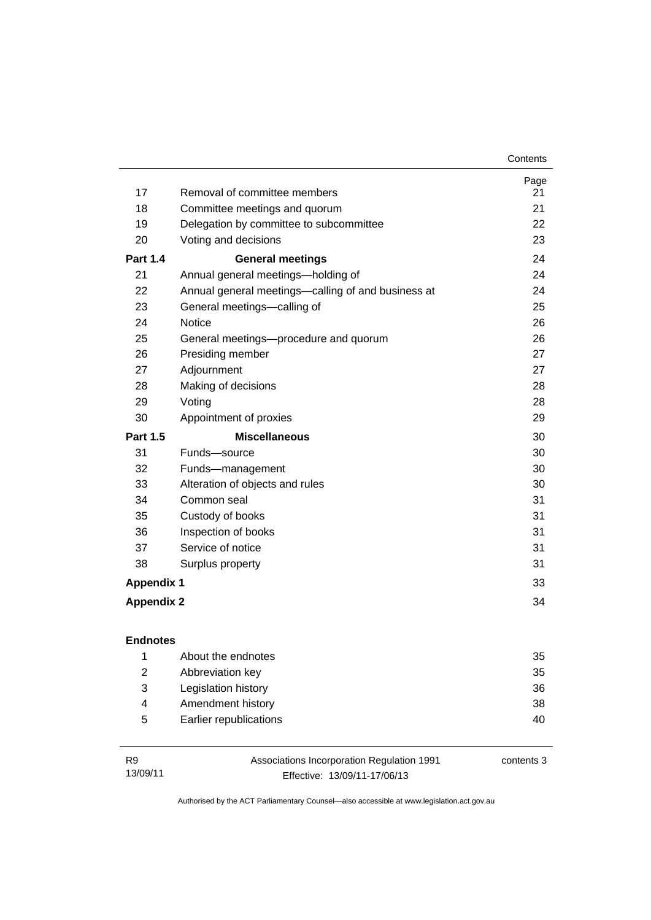| Contents |
|----------|
|----------|

|                   |                                                    | Page |
|-------------------|----------------------------------------------------|------|
| 17                | Removal of committee members                       | 21   |
| 18                | Committee meetings and quorum                      | 21   |
| 19                | Delegation by committee to subcommittee            | 22   |
| 20                | Voting and decisions                               | 23   |
| <b>Part 1.4</b>   | <b>General meetings</b>                            | 24   |
| 21                | Annual general meetings-holding of                 | 24   |
| 22                | Annual general meetings—calling of and business at | 24   |
| 23                | General meetings-calling of                        | 25   |
| 24                | <b>Notice</b>                                      | 26   |
| 25                | General meetings-procedure and quorum              | 26   |
| 26                | Presiding member                                   | 27   |
| 27                | Adjournment                                        | 27   |
| 28                | Making of decisions                                | 28   |
| 29                | Voting                                             | 28   |
| 30                | Appointment of proxies                             | 29   |
| <b>Part 1.5</b>   | <b>Miscellaneous</b>                               | 30   |
| 31                | Funds-source                                       | 30   |
| 32                | Funds-management                                   | 30   |
| 33                | Alteration of objects and rules                    | 30   |
| 34                | Common seal                                        | 31   |
| 35                | Custody of books                                   | 31   |
| 36                | Inspection of books                                | 31   |
| 37                | Service of notice                                  | 31   |
| 38                | Surplus property                                   | 31   |
| <b>Appendix 1</b> |                                                    | 33   |
| <b>Appendix 2</b> |                                                    | 34   |

|   | About the endnotes     | 35 |
|---|------------------------|----|
| 2 | Abbreviation key       | 35 |
| 3 | Legislation history    | 36 |
| 4 | Amendment history      | 38 |
| 5 | Earlier republications | 40 |

| <b>R9</b> | Associations Incorporation Regulation 1991 | contents 3 |
|-----------|--------------------------------------------|------------|
| 13/09/11  | Effective: 13/09/11-17/06/13               |            |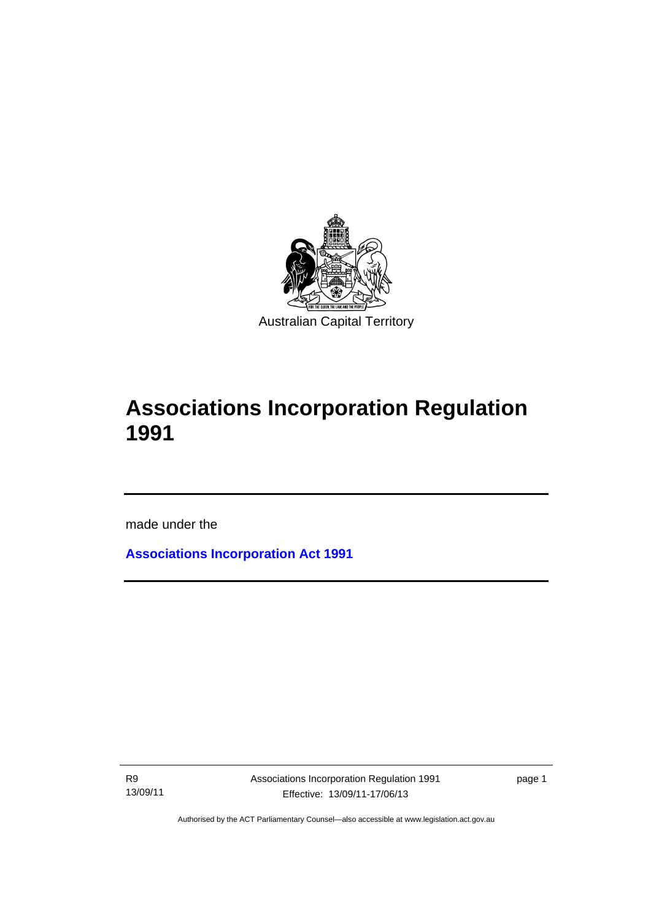

# **Associations Incorporation Regulation 1991**

made under the

**[Associations Incorporation Act 1991](http://www.legislation.act.gov.au/a/1991-46)**

R9 13/09/11

l

Associations Incorporation Regulation 1991 Effective: 13/09/11-17/06/13

page 1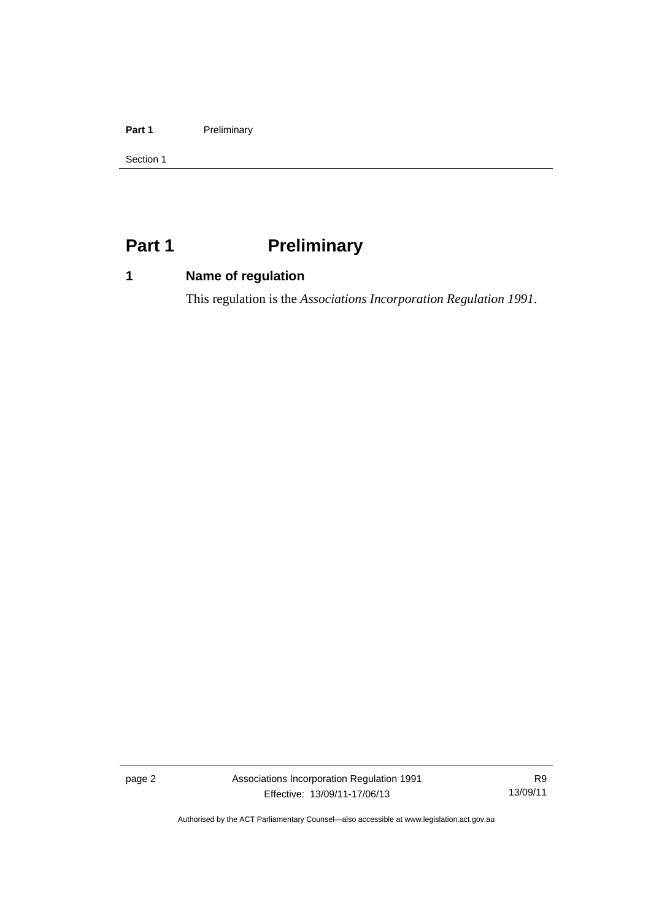#### Part 1 **Preliminary**

Section 1

# <span id="page-7-0"></span>**Part 1** Preliminary

# <span id="page-7-1"></span>**1 Name of regulation**

This regulation is the *Associations Incorporation Regulation 1991*.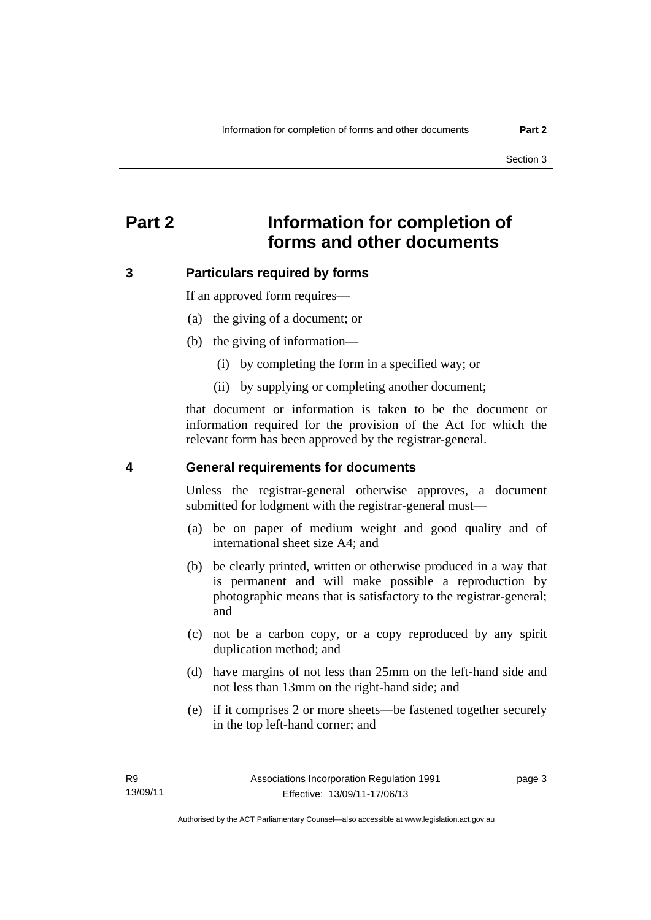# <span id="page-8-0"></span>**Part 2 Information for completion of forms and other documents**

### <span id="page-8-1"></span>**3 Particulars required by forms**

If an approved form requires—

- (a) the giving of a document; or
- (b) the giving of information—
	- (i) by completing the form in a specified way; or
	- (ii) by supplying or completing another document;

that document or information is taken to be the document or information required for the provision of the Act for which the relevant form has been approved by the registrar-general.

#### <span id="page-8-2"></span>**4 General requirements for documents**

Unless the registrar-general otherwise approves, a document submitted for lodgment with the registrar-general must—

- (a) be on paper of medium weight and good quality and of international sheet size A4; and
- (b) be clearly printed, written or otherwise produced in a way that is permanent and will make possible a reproduction by photographic means that is satisfactory to the registrar-general; and
- (c) not be a carbon copy, or a copy reproduced by any spirit duplication method; and
- (d) have margins of not less than 25mm on the left-hand side and not less than 13mm on the right-hand side; and
- (e) if it comprises 2 or more sheets—be fastened together securely in the top left-hand corner; and

page 3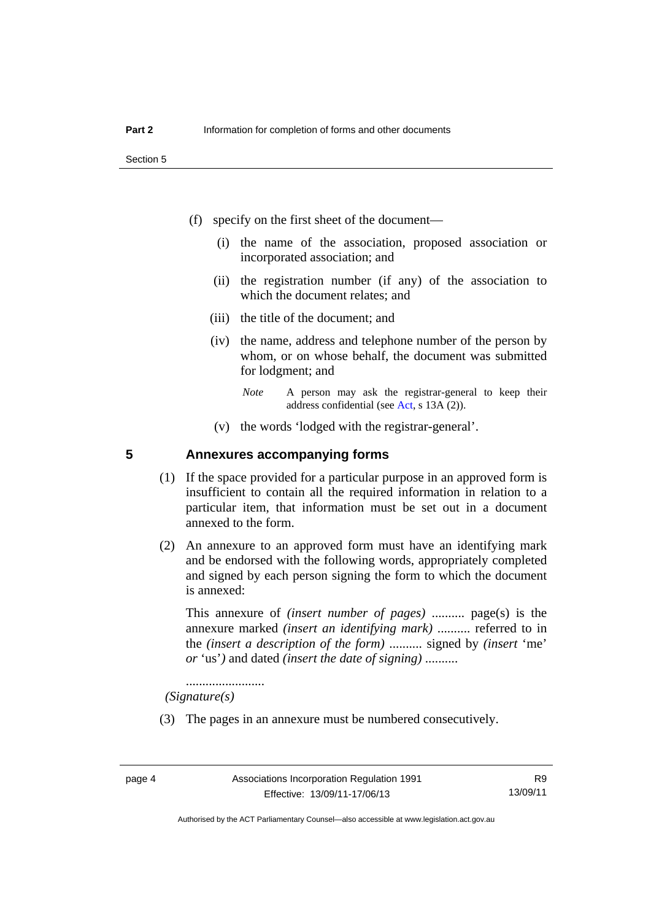- (f) specify on the first sheet of the document—
	- (i) the name of the association, proposed association or incorporated association; and
	- (ii) the registration number (if any) of the association to which the document relates; and
	- (iii) the title of the document; and
	- (iv) the name, address and telephone number of the person by whom, or on whose behalf, the document was submitted for lodgment; and
		- *Note* A person may ask the registrar-general to keep their address confidential (see [Act,](http://www.legislation.act.gov.au/a/1991-46/default.asp) s 13A (2)).
	- (v) the words 'lodged with the registrar-general'.

#### <span id="page-9-0"></span>**5 Annexures accompanying forms**

- (1) If the space provided for a particular purpose in an approved form is insufficient to contain all the required information in relation to a particular item, that information must be set out in a document annexed to the form.
- (2) An annexure to an approved form must have an identifying mark and be endorsed with the following words, appropriately completed and signed by each person signing the form to which the document is annexed:

This annexure of *(insert number of pages)* .......... page(s) is the annexure marked *(insert an identifying mark)* .......... referred to in the *(insert a description of the form)* .......... signed by *(insert* 'me' *or* 'us'*)* and dated *(insert the date of signing)* ..........

........................  *(Signature(s)*

(3) The pages in an annexure must be numbered consecutively.

Authorised by the ACT Parliamentary Counsel—also accessible at www.legislation.act.gov.au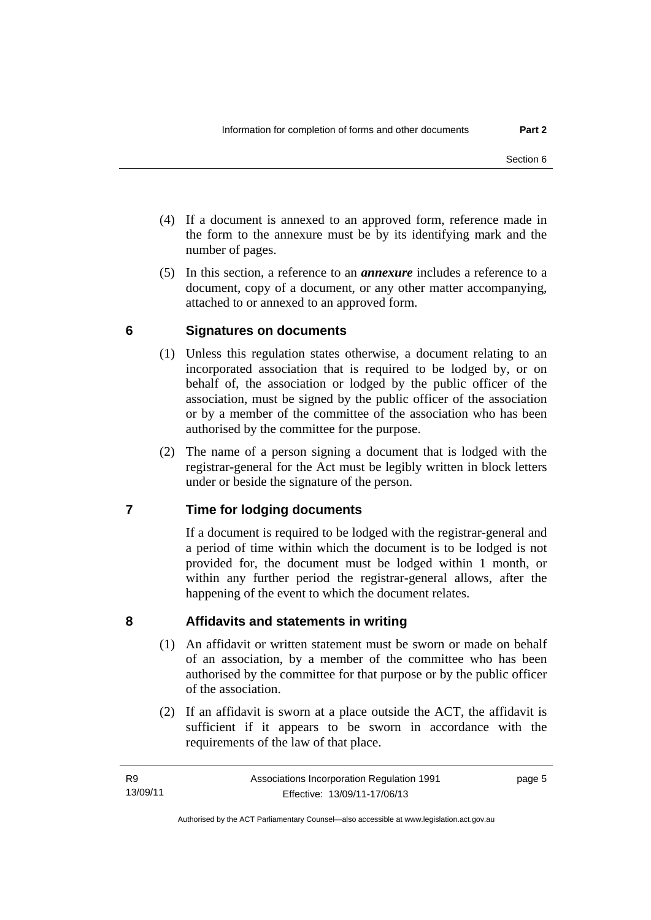- (4) If a document is annexed to an approved form, reference made in the form to the annexure must be by its identifying mark and the number of pages.
- (5) In this section, a reference to an *annexure* includes a reference to a document, copy of a document, or any other matter accompanying, attached to or annexed to an approved form.

### <span id="page-10-0"></span>**6 Signatures on documents**

- (1) Unless this regulation states otherwise, a document relating to an incorporated association that is required to be lodged by, or on behalf of, the association or lodged by the public officer of the association, must be signed by the public officer of the association or by a member of the committee of the association who has been authorised by the committee for the purpose.
- (2) The name of a person signing a document that is lodged with the registrar-general for the Act must be legibly written in block letters under or beside the signature of the person.

# <span id="page-10-1"></span>**7 Time for lodging documents**

If a document is required to be lodged with the registrar-general and a period of time within which the document is to be lodged is not provided for, the document must be lodged within 1 month, or within any further period the registrar-general allows, after the happening of the event to which the document relates.

### <span id="page-10-2"></span>**8 Affidavits and statements in writing**

- (1) An affidavit or written statement must be sworn or made on behalf of an association, by a member of the committee who has been authorised by the committee for that purpose or by the public officer of the association.
- (2) If an affidavit is sworn at a place outside the ACT, the affidavit is sufficient if it appears to be sworn in accordance with the requirements of the law of that place.

page 5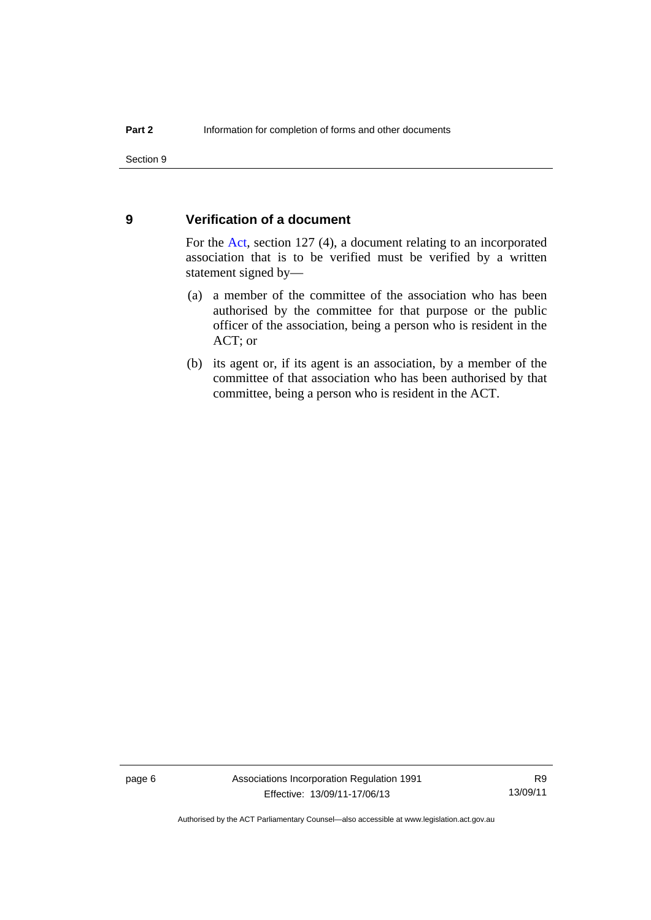#### <span id="page-11-0"></span>**9 Verification of a document**

For the [Act,](http://www.legislation.act.gov.au/a/1991-46/default.asp) section 127 (4), a document relating to an incorporated association that is to be verified must be verified by a written statement signed by—

- (a) a member of the committee of the association who has been authorised by the committee for that purpose or the public officer of the association, being a person who is resident in the ACT; or
- (b) its agent or, if its agent is an association, by a member of the committee of that association who has been authorised by that committee, being a person who is resident in the ACT.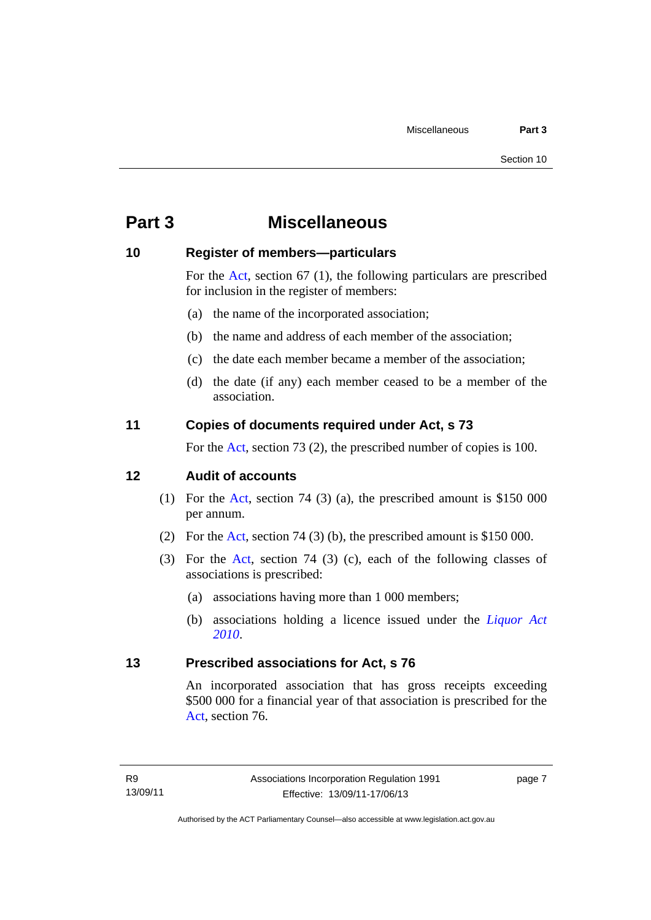# <span id="page-12-0"></span>**Part 3 Miscellaneous**

#### <span id="page-12-1"></span>**10 Register of members—particulars**

For the [Act,](http://www.legislation.act.gov.au/a/1991-46/default.asp) section 67 (1), the following particulars are prescribed for inclusion in the register of members:

- (a) the name of the incorporated association;
- (b) the name and address of each member of the association;
- (c) the date each member became a member of the association;
- (d) the date (if any) each member ceased to be a member of the association.

### <span id="page-12-2"></span>**11 Copies of documents required under Act, s 73**

For the [Act,](http://www.legislation.act.gov.au/a/1991-46/default.asp) section 73 (2), the prescribed number of copies is 100.

#### <span id="page-12-3"></span>**12 Audit of accounts**

- (1) For the [Act](http://www.legislation.act.gov.au/a/1991-46/default.asp), section 74 (3) (a), the prescribed amount is \$150 000 per annum.
- (2) For the [Act,](http://www.legislation.act.gov.au/a/1991-46/default.asp) section 74 (3) (b), the prescribed amount is \$150 000.
- (3) For the [Act,](http://www.legislation.act.gov.au/a/1991-46/default.asp) section 74 (3) (c), each of the following classes of associations is prescribed:
	- (a) associations having more than 1 000 members;
	- (b) associations holding a licence issued under the *[Liquor Act](http://www.legislation.act.gov.au/a/2010-35)  [2010](http://www.legislation.act.gov.au/a/2010-35)*.

#### <span id="page-12-4"></span>**13 Prescribed associations for Act, s 76**

An incorporated association that has gross receipts exceeding \$500 000 for a financial year of that association is prescribed for the [Act](http://www.legislation.act.gov.au/a/1991-46/default.asp), section 76.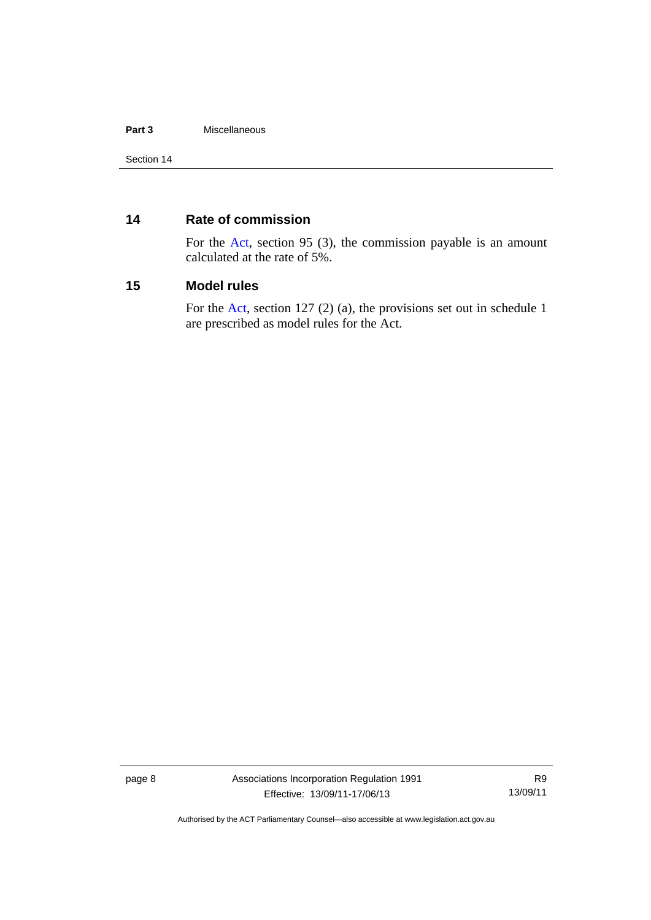#### **Part 3** Miscellaneous

### <span id="page-13-0"></span>**14 Rate of commission**

For the [Act,](http://www.legislation.act.gov.au/a/1991-46/default.asp) section 95 (3), the commission payable is an amount calculated at the rate of 5%.

#### <span id="page-13-1"></span>**15 Model rules**

For the [Act,](http://www.legislation.act.gov.au/a/1991-46/default.asp) section 127 (2) (a), the provisions set out in schedule 1 are prescribed as model rules for the Act.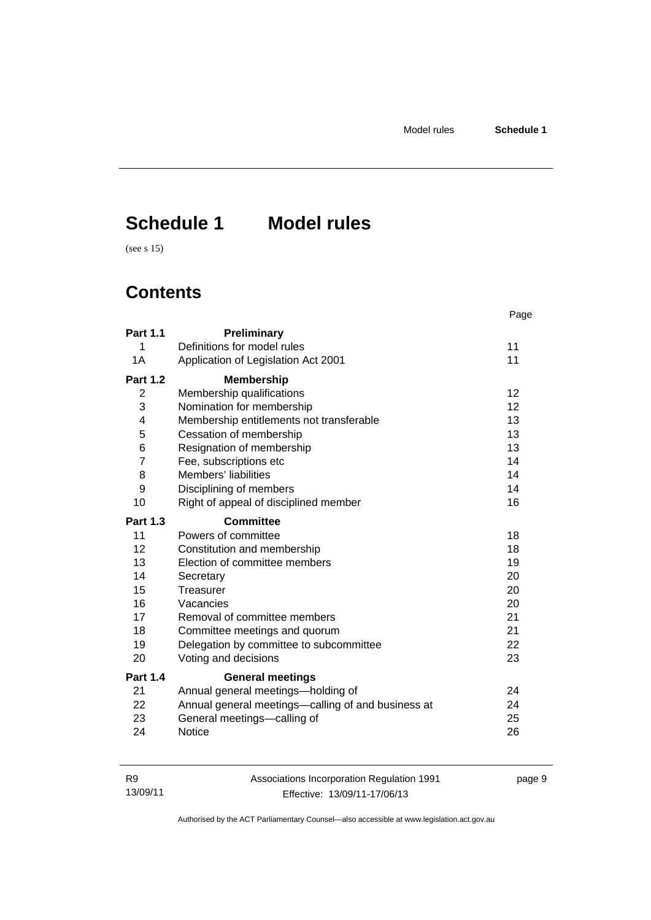page 9

# <span id="page-14-0"></span>**Schedule 1 Model rules**

(see s 15)

# **Contents**

|                 |                                                    | Page            |
|-----------------|----------------------------------------------------|-----------------|
| <b>Part 1.1</b> | Preliminary                                        |                 |
| 1               | Definitions for model rules                        | 11              |
| 1A              | Application of Legislation Act 2001                | 11              |
| <b>Part 1.2</b> | <b>Membership</b>                                  |                 |
| 2               | Membership qualifications                          | 12 <sup>2</sup> |
| 3               | Nomination for membership                          | 12              |
| 4               | Membership entitlements not transferable           | 13              |
| 5               | Cessation of membership                            | 13              |
| 6               | Resignation of membership                          | 13              |
| $\overline{7}$  | Fee, subscriptions etc                             | 14              |
| 8               | Members' liabilities                               | 14              |
| 9               | Disciplining of members                            | 14              |
| 10              | Right of appeal of disciplined member              | 16              |
| <b>Part 1.3</b> | <b>Committee</b>                                   |                 |
| 11              | Powers of committee                                | 18              |
| 12 <sup>2</sup> | Constitution and membership                        | 18              |
| 13              | Election of committee members                      | 19              |
| 14              | Secretary                                          | 20              |
| 15              | Treasurer                                          | 20              |
| 16              | Vacancies                                          | 20              |
| 17              | Removal of committee members                       | 21              |
| 18              | Committee meetings and quorum                      | 21              |
| 19              | Delegation by committee to subcommittee            | 22              |
| 20              | Voting and decisions                               | 23              |
| <b>Part 1.4</b> | <b>General meetings</b>                            |                 |
| 21              | Annual general meetings-holding of                 | 24              |
| 22              | Annual general meetings—calling of and business at | 24              |
| 23              | General meetings-calling of                        | 25              |
| 24              | <b>Notice</b>                                      | 26              |

| <b>R9</b> | Associations Incorporation Regulation 1991 |
|-----------|--------------------------------------------|
| 13/09/11  | Effective: 13/09/11-17/06/13               |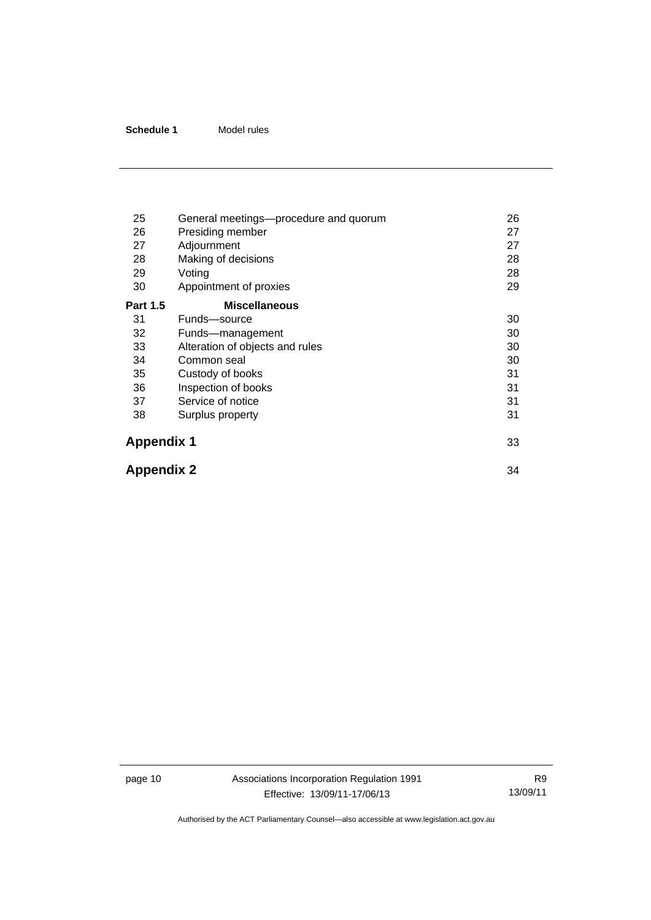| 25                | General meetings—procedure and quorum | 26 |
|-------------------|---------------------------------------|----|
| 26                | Presiding member                      | 27 |
| 27                | Adjournment                           | 27 |
| 28                | Making of decisions                   | 28 |
| 29                | Voting                                | 28 |
| 30                | Appointment of proxies                | 29 |
| <b>Part 1.5</b>   | <b>Miscellaneous</b>                  |    |
| 31                | Funds-source                          | 30 |
| 32                | Funds-management                      | 30 |
| 33                | Alteration of objects and rules       | 30 |
| 34                | Common seal                           | 30 |
| 35                | Custody of books                      | 31 |
| 36                | Inspection of books                   | 31 |
| 37                | Service of notice                     | 31 |
| 38                | Surplus property                      | 31 |
| <b>Appendix 1</b> |                                       | 33 |
| <b>Appendix 2</b> |                                       | 34 |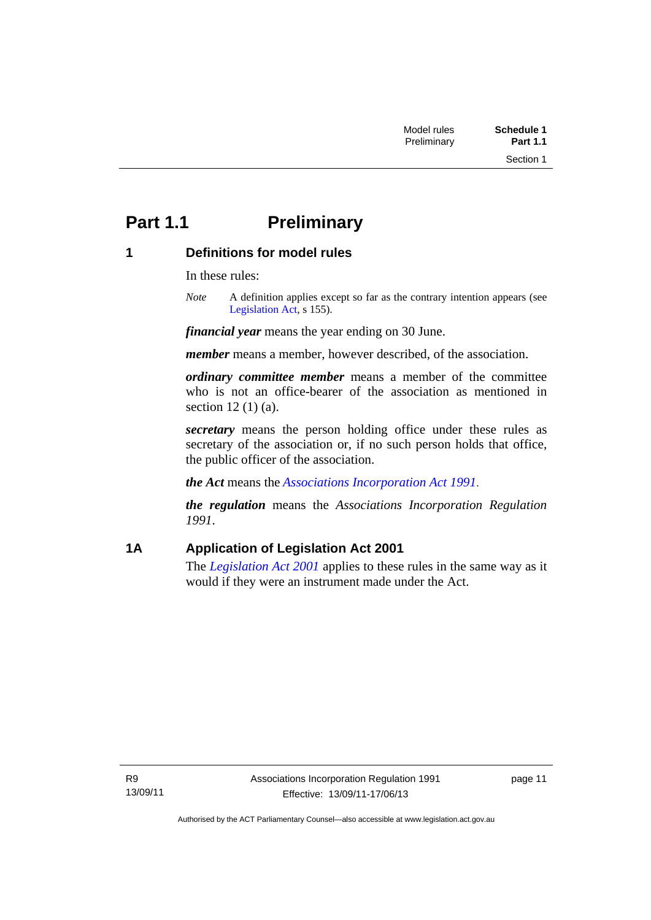# <span id="page-16-0"></span>**Part 1.1** Preliminary

## <span id="page-16-1"></span>**1 Definitions for model rules**

In these rules:

*Note* A definition applies except so far as the contrary intention appears (see [Legislation Act,](http://www.legislation.act.gov.au/a/2001-14) s 155).

*financial year* means the year ending on 30 June.

*member* means a member, however described, of the association.

*ordinary committee member* means a member of the committee who is not an office-bearer of the association as mentioned in section 12 (1) (a).

*secretary* means the person holding office under these rules as secretary of the association or, if no such person holds that office, the public officer of the association.

*the Act* means the *[Associations Incorporation Act 1991](http://www.legislation.act.gov.au/a/1991-46)*.

*the regulation* means the *Associations Incorporation Regulation 1991*.

# <span id="page-16-2"></span>**1A Application of Legislation Act 2001**

The *[Legislation Act 2001](http://www.legislation.act.gov.au/a/2001-14)* applies to these rules in the same way as it would if they were an instrument made under the Act.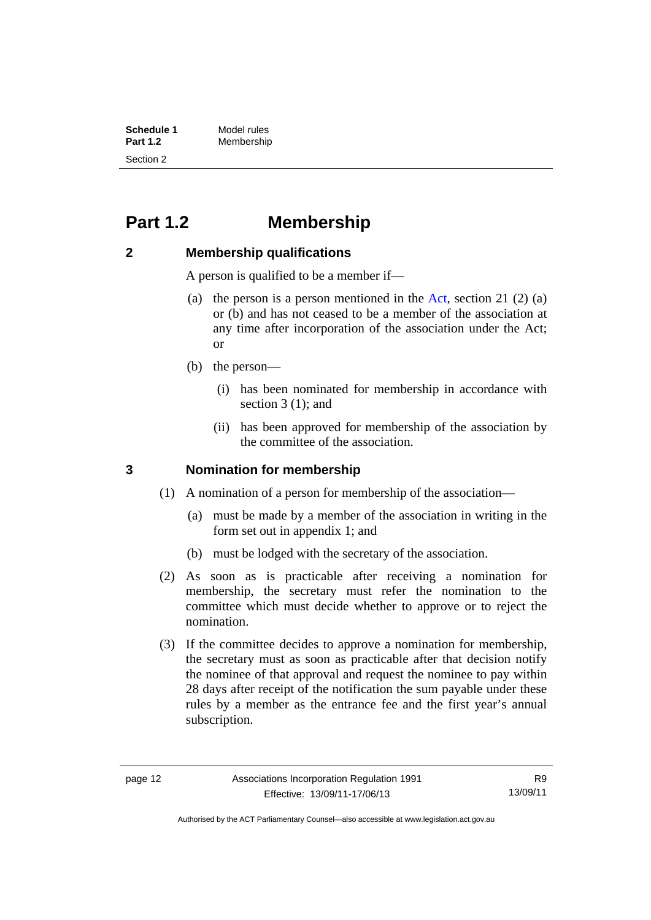| <b>Schedule 1</b> | Model rules |
|-------------------|-------------|
| <b>Part 1.2</b>   | Membership  |
| Section 2         |             |

# <span id="page-17-0"></span>**Part 1.2 Membership**

### <span id="page-17-1"></span>**2 Membership qualifications**

A person is qualified to be a member if—

- (a) the person is a person mentioned in the [Act](http://www.legislation.act.gov.au/a/1991-46/default.asp), section 21 (2) (a) or (b) and has not ceased to be a member of the association at any time after incorporation of the association under the Act; or
- (b) the person—
	- (i) has been nominated for membership in accordance with section 3 (1); and
	- (ii) has been approved for membership of the association by the committee of the association.

#### <span id="page-17-2"></span>**3 Nomination for membership**

- (1) A nomination of a person for membership of the association—
	- (a) must be made by a member of the association in writing in the form set out in appendix 1; and
	- (b) must be lodged with the secretary of the association.
- (2) As soon as is practicable after receiving a nomination for membership, the secretary must refer the nomination to the committee which must decide whether to approve or to reject the nomination.
- (3) If the committee decides to approve a nomination for membership, the secretary must as soon as practicable after that decision notify the nominee of that approval and request the nominee to pay within 28 days after receipt of the notification the sum payable under these rules by a member as the entrance fee and the first year's annual subscription.

Authorised by the ACT Parliamentary Counsel—also accessible at www.legislation.act.gov.au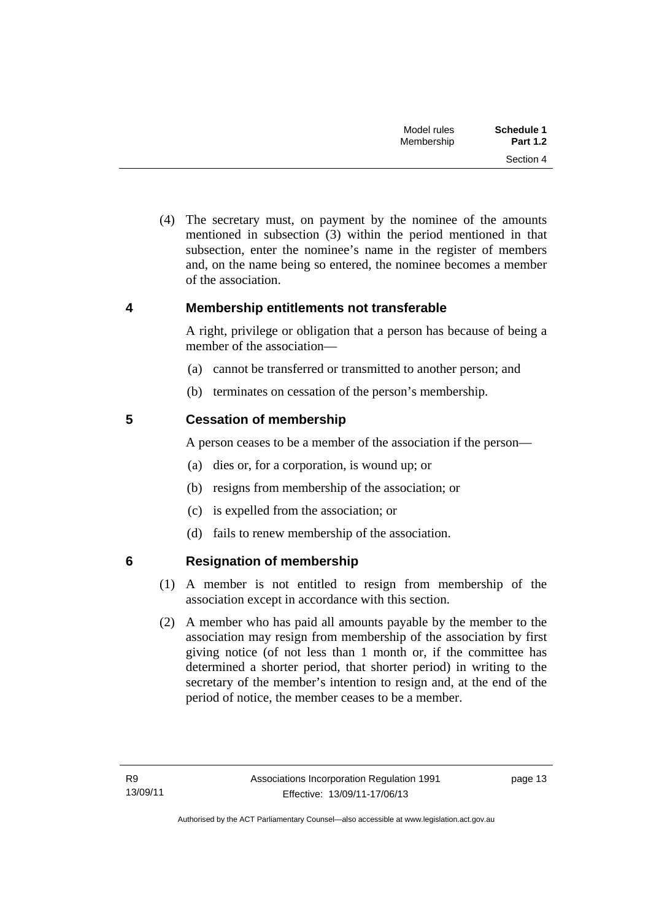| Schedule 1      | Model rules |
|-----------------|-------------|
| <b>Part 1.2</b> | Membership  |
| Section 4       |             |

 (4) The secretary must, on payment by the nominee of the amounts mentioned in subsection (3) within the period mentioned in that subsection, enter the nominee's name in the register of members and, on the name being so entered, the nominee becomes a member of the association.

#### <span id="page-18-0"></span>**4 Membership entitlements not transferable**

A right, privilege or obligation that a person has because of being a member of the association—

- (a) cannot be transferred or transmitted to another person; and
- (b) terminates on cessation of the person's membership.

### <span id="page-18-1"></span>**5 Cessation of membership**

A person ceases to be a member of the association if the person—

- (a) dies or, for a corporation, is wound up; or
- (b) resigns from membership of the association; or
- (c) is expelled from the association; or
- (d) fails to renew membership of the association.

# <span id="page-18-2"></span>**6 Resignation of membership**

- (1) A member is not entitled to resign from membership of the association except in accordance with this section.
- (2) A member who has paid all amounts payable by the member to the association may resign from membership of the association by first giving notice (of not less than 1 month or, if the committee has determined a shorter period, that shorter period) in writing to the secretary of the member's intention to resign and, at the end of the period of notice, the member ceases to be a member.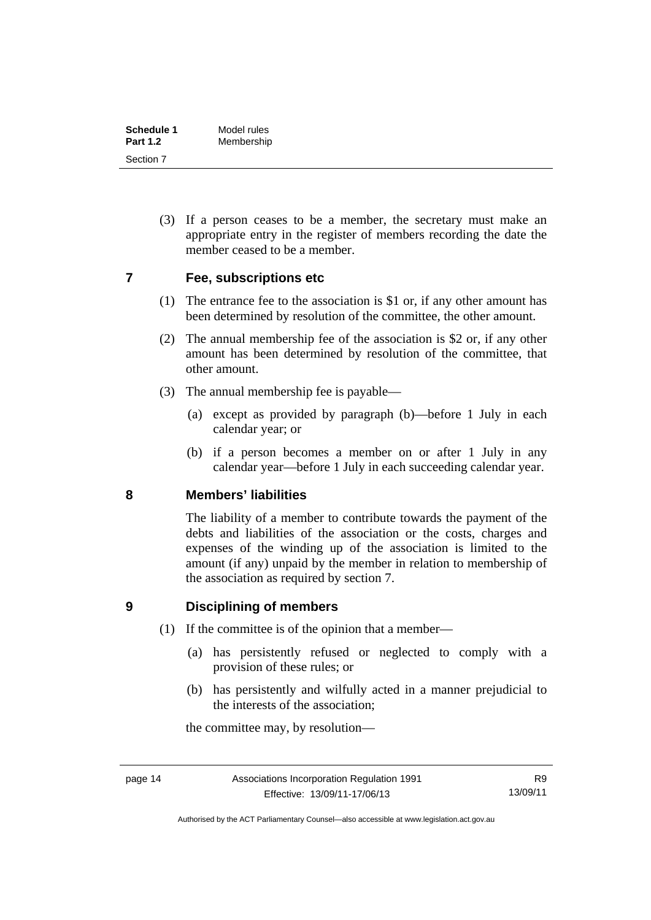| Schedule 1      | Model rules |
|-----------------|-------------|
| <b>Part 1.2</b> | Membership  |
| Section 7       |             |

 (3) If a person ceases to be a member, the secretary must make an appropriate entry in the register of members recording the date the member ceased to be a member.

#### <span id="page-19-0"></span>**7 Fee, subscriptions etc**

- (1) The entrance fee to the association is \$1 or, if any other amount has been determined by resolution of the committee, the other amount.
- (2) The annual membership fee of the association is \$2 or, if any other amount has been determined by resolution of the committee, that other amount.
- (3) The annual membership fee is payable—
	- (a) except as provided by paragraph (b)—before 1 July in each calendar year; or
	- (b) if a person becomes a member on or after 1 July in any calendar year—before 1 July in each succeeding calendar year.

#### <span id="page-19-1"></span>**8 Members' liabilities**

The liability of a member to contribute towards the payment of the debts and liabilities of the association or the costs, charges and expenses of the winding up of the association is limited to the amount (if any) unpaid by the member in relation to membership of the association as required by section 7.

### <span id="page-19-2"></span>**9 Disciplining of members**

- (1) If the committee is of the opinion that a member—
	- (a) has persistently refused or neglected to comply with a provision of these rules; or
	- (b) has persistently and wilfully acted in a manner prejudicial to the interests of the association;

the committee may, by resolution—

Authorised by the ACT Parliamentary Counsel—also accessible at www.legislation.act.gov.au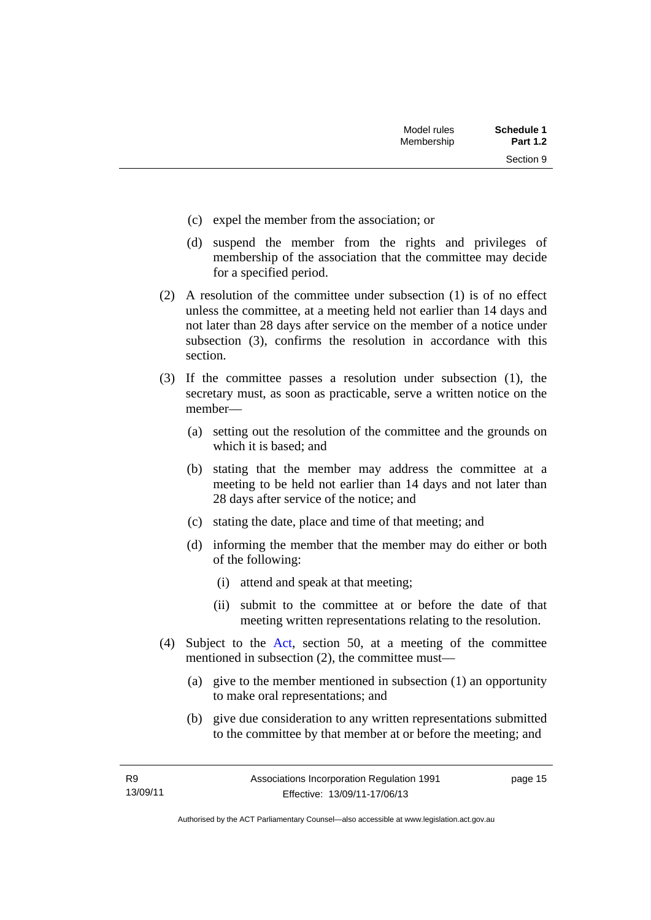Section 9

- (c) expel the member from the association; or
- (d) suspend the member from the rights and privileges of membership of the association that the committee may decide for a specified period.
- (2) A resolution of the committee under subsection (1) is of no effect unless the committee, at a meeting held not earlier than 14 days and not later than 28 days after service on the member of a notice under subsection (3), confirms the resolution in accordance with this section.
- (3) If the committee passes a resolution under subsection (1), the secretary must, as soon as practicable, serve a written notice on the member—
	- (a) setting out the resolution of the committee and the grounds on which it is based; and
	- (b) stating that the member may address the committee at a meeting to be held not earlier than 14 days and not later than 28 days after service of the notice; and
	- (c) stating the date, place and time of that meeting; and
	- (d) informing the member that the member may do either or both of the following:
		- (i) attend and speak at that meeting;
		- (ii) submit to the committee at or before the date of that meeting written representations relating to the resolution.
- (4) Subject to the [Act](http://www.legislation.act.gov.au/a/1991-46/default.asp), section 50, at a meeting of the committee mentioned in subsection (2), the committee must—
	- (a) give to the member mentioned in subsection (1) an opportunity to make oral representations; and
	- (b) give due consideration to any written representations submitted to the committee by that member at or before the meeting; and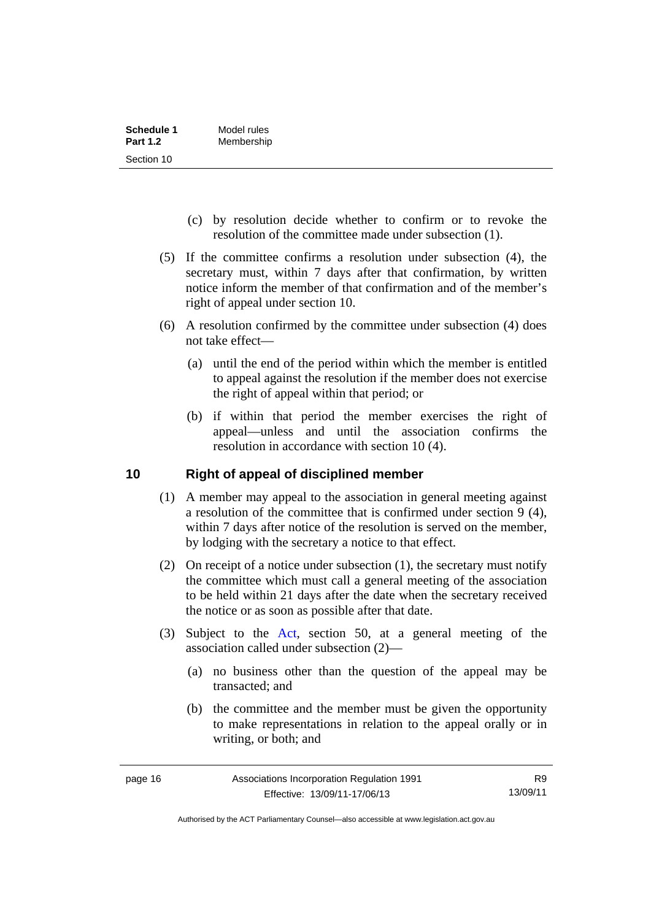| Schedule 1      | Model rules |
|-----------------|-------------|
| <b>Part 1.2</b> | Membership  |
| Section 10      |             |

- (c) by resolution decide whether to confirm or to revoke the resolution of the committee made under subsection (1).
- (5) If the committee confirms a resolution under subsection (4), the secretary must, within 7 days after that confirmation, by written notice inform the member of that confirmation and of the member's right of appeal under section 10.
- (6) A resolution confirmed by the committee under subsection (4) does not take effect—
	- (a) until the end of the period within which the member is entitled to appeal against the resolution if the member does not exercise the right of appeal within that period; or
	- (b) if within that period the member exercises the right of appeal—unless and until the association confirms the resolution in accordance with section 10 (4).

#### <span id="page-21-0"></span>**10 Right of appeal of disciplined member**

- (1) A member may appeal to the association in general meeting against a resolution of the committee that is confirmed under section 9 (4), within 7 days after notice of the resolution is served on the member, by lodging with the secretary a notice to that effect.
- (2) On receipt of a notice under subsection (1), the secretary must notify the committee which must call a general meeting of the association to be held within 21 days after the date when the secretary received the notice or as soon as possible after that date.
- (3) Subject to the [Act](http://www.legislation.act.gov.au/a/1991-46/default.asp), section 50, at a general meeting of the association called under subsection (2)—
	- (a) no business other than the question of the appeal may be transacted; and
	- (b) the committee and the member must be given the opportunity to make representations in relation to the appeal orally or in writing, or both; and

R9 13/09/11

Authorised by the ACT Parliamentary Counsel—also accessible at www.legislation.act.gov.au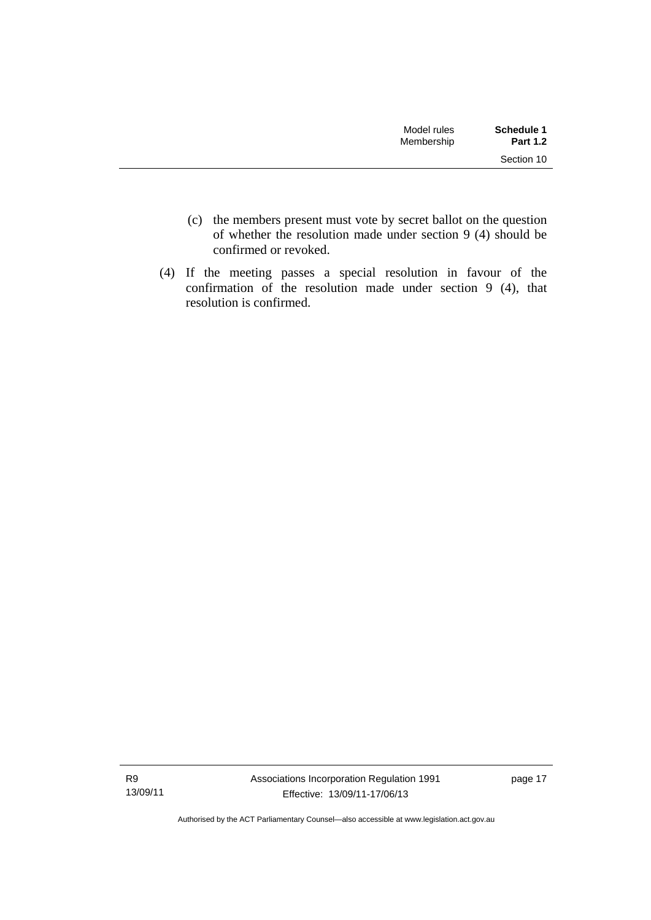| Model rules<br>Membership | Schedule 1<br><b>Part 1.2</b> |
|---------------------------|-------------------------------|
|                           | Section 10                    |

- (c) the members present must vote by secret ballot on the question of whether the resolution made under section 9 (4) should be confirmed or revoked.
- (4) If the meeting passes a special resolution in favour of the confirmation of the resolution made under section 9 (4), that resolution is confirmed.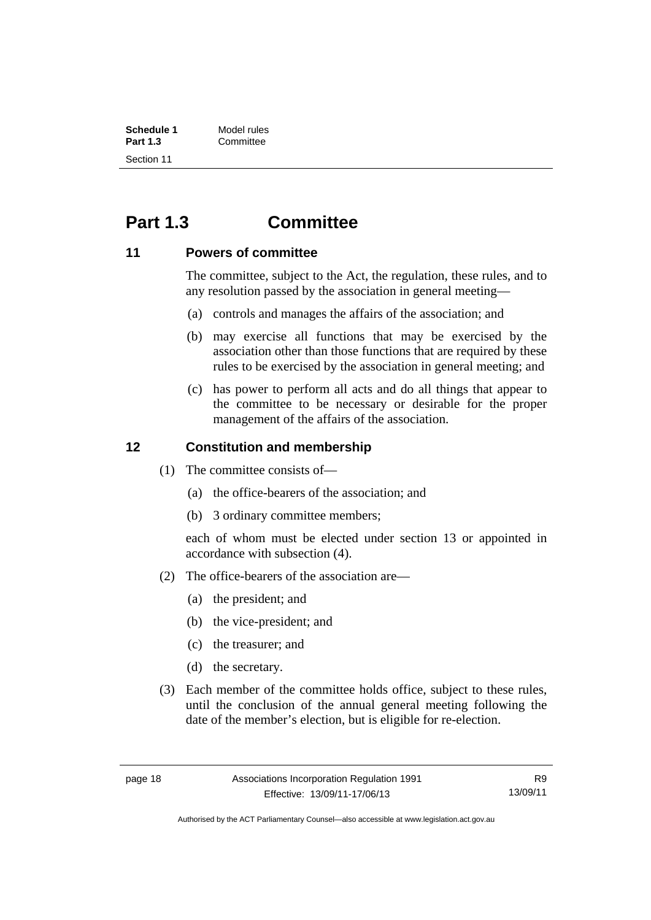| Schedule 1      | Model rules |
|-----------------|-------------|
| <b>Part 1.3</b> | Committee   |
| Section 11      |             |

# <span id="page-23-0"></span>**Part 1.3 Committee**

#### <span id="page-23-1"></span>**11 Powers of committee**

The committee, subject to the Act, the regulation, these rules, and to any resolution passed by the association in general meeting—

- (a) controls and manages the affairs of the association; and
- (b) may exercise all functions that may be exercised by the association other than those functions that are required by these rules to be exercised by the association in general meeting; and
- (c) has power to perform all acts and do all things that appear to the committee to be necessary or desirable for the proper management of the affairs of the association.

### <span id="page-23-2"></span>**12 Constitution and membership**

- (1) The committee consists of—
	- (a) the office-bearers of the association; and
	- (b) 3 ordinary committee members;

each of whom must be elected under section 13 or appointed in accordance with subsection (4).

- (2) The office-bearers of the association are—
	- (a) the president; and
	- (b) the vice-president; and
	- (c) the treasurer; and
	- (d) the secretary.
- (3) Each member of the committee holds office, subject to these rules, until the conclusion of the annual general meeting following the date of the member's election, but is eligible for re-election.

R9 13/09/11

Authorised by the ACT Parliamentary Counsel—also accessible at www.legislation.act.gov.au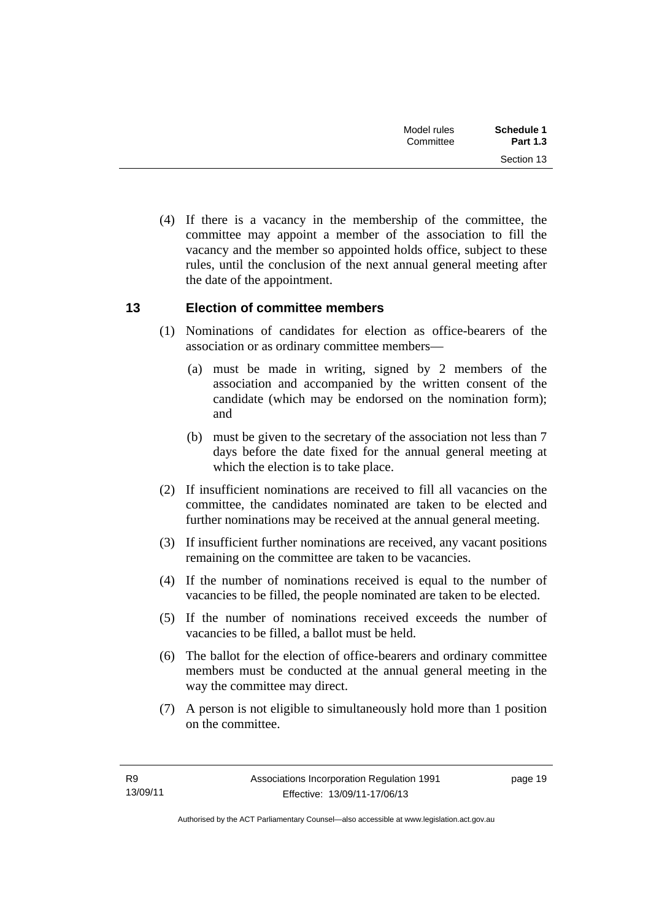| Schedule 1<br><b>Part 1.3</b> | Model rules<br>Committee |  |
|-------------------------------|--------------------------|--|
| Section 13                    |                          |  |

 (4) If there is a vacancy in the membership of the committee, the committee may appoint a member of the association to fill the vacancy and the member so appointed holds office, subject to these rules, until the conclusion of the next annual general meeting after the date of the appointment.

### <span id="page-24-0"></span>**13 Election of committee members**

- (1) Nominations of candidates for election as office-bearers of the association or as ordinary committee members—
	- (a) must be made in writing, signed by 2 members of the association and accompanied by the written consent of the candidate (which may be endorsed on the nomination form); and
	- (b) must be given to the secretary of the association not less than 7 days before the date fixed for the annual general meeting at which the election is to take place.
- (2) If insufficient nominations are received to fill all vacancies on the committee, the candidates nominated are taken to be elected and further nominations may be received at the annual general meeting.
- (3) If insufficient further nominations are received, any vacant positions remaining on the committee are taken to be vacancies.
- (4) If the number of nominations received is equal to the number of vacancies to be filled, the people nominated are taken to be elected.
- (5) If the number of nominations received exceeds the number of vacancies to be filled, a ballot must be held.
- (6) The ballot for the election of office-bearers and ordinary committee members must be conducted at the annual general meeting in the way the committee may direct.
- (7) A person is not eligible to simultaneously hold more than 1 position on the committee.

page 19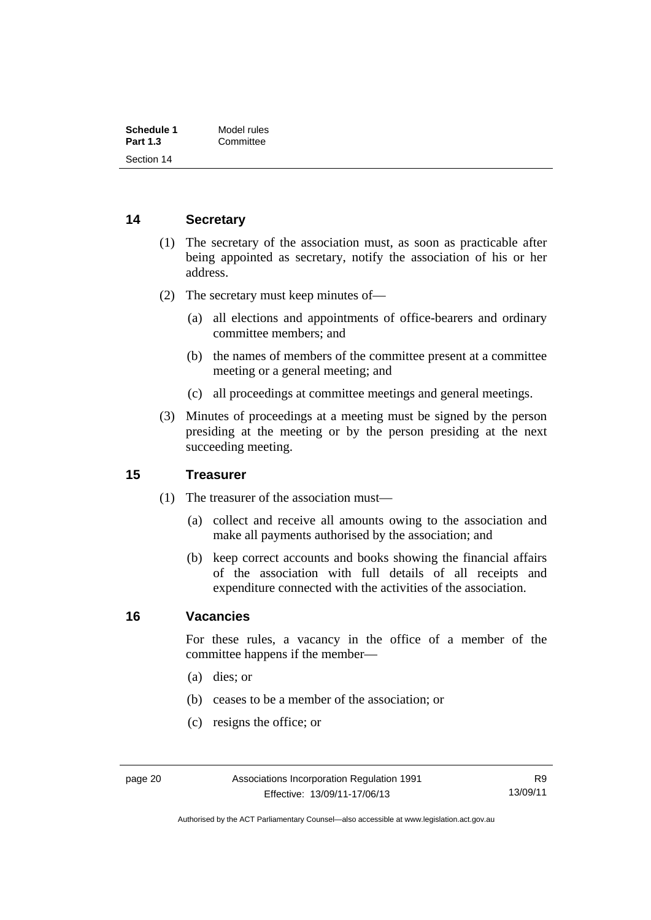| Schedule 1      | Model rules |
|-----------------|-------------|
| <b>Part 1.3</b> | Committee   |
| Section 14      |             |

### <span id="page-25-0"></span>**14 Secretary**

- (1) The secretary of the association must, as soon as practicable after being appointed as secretary, notify the association of his or her address.
- (2) The secretary must keep minutes of—
	- (a) all elections and appointments of office-bearers and ordinary committee members; and
	- (b) the names of members of the committee present at a committee meeting or a general meeting; and
	- (c) all proceedings at committee meetings and general meetings.
- (3) Minutes of proceedings at a meeting must be signed by the person presiding at the meeting or by the person presiding at the next succeeding meeting.

#### <span id="page-25-1"></span>**15 Treasurer**

- (1) The treasurer of the association must—
	- (a) collect and receive all amounts owing to the association and make all payments authorised by the association; and
	- (b) keep correct accounts and books showing the financial affairs of the association with full details of all receipts and expenditure connected with the activities of the association.

#### <span id="page-25-2"></span>**16 Vacancies**

For these rules, a vacancy in the office of a member of the committee happens if the member—

- (a) dies; or
- (b) ceases to be a member of the association; or
- (c) resigns the office; or

Authorised by the ACT Parliamentary Counsel—also accessible at www.legislation.act.gov.au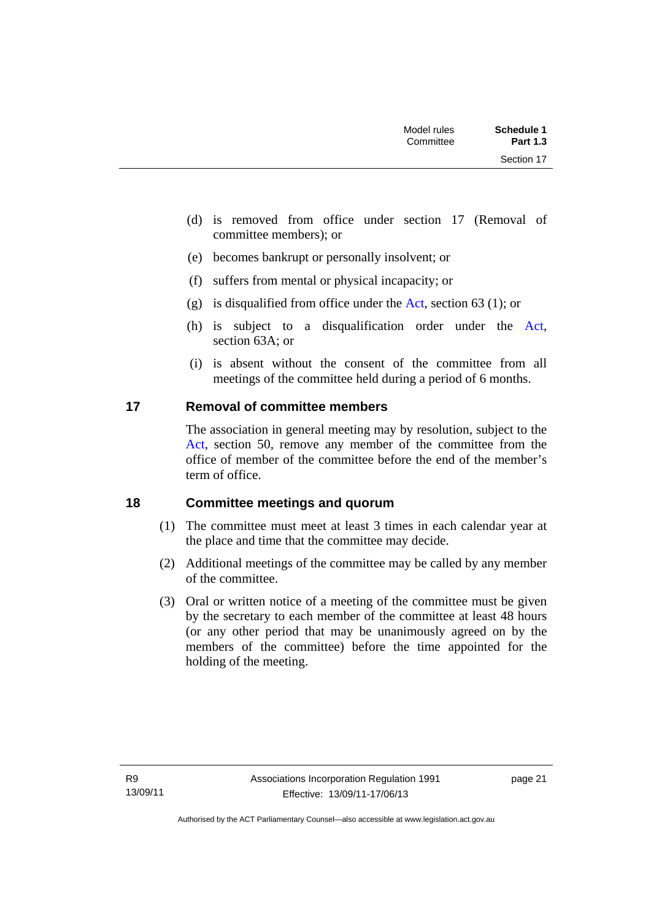| Schedule 1<br><b>Part 1.3</b> | Model rules<br>Committee |  |
|-------------------------------|--------------------------|--|
| Section 17                    |                          |  |

- (d) is removed from office under section 17 (Removal of committee members); or
- (e) becomes bankrupt or personally insolvent; or
- (f) suffers from mental or physical incapacity; or
- (g) is disqualified from office under the [Act](http://www.legislation.act.gov.au/a/1991-46/default.asp), section 63 (1); or
- (h) is subject to a disqualification order under the [Act](http://www.legislation.act.gov.au/a/1991-46/default.asp), section 63A; or
- (i) is absent without the consent of the committee from all meetings of the committee held during a period of 6 months.

### <span id="page-26-0"></span>**17 Removal of committee members**

The association in general meeting may by resolution, subject to the [Act](http://www.legislation.act.gov.au/a/1991-46/default.asp), section 50, remove any member of the committee from the office of member of the committee before the end of the member's term of office.

#### <span id="page-26-1"></span>**18 Committee meetings and quorum**

- (1) The committee must meet at least 3 times in each calendar year at the place and time that the committee may decide.
- (2) Additional meetings of the committee may be called by any member of the committee.
- (3) Oral or written notice of a meeting of the committee must be given by the secretary to each member of the committee at least 48 hours (or any other period that may be unanimously agreed on by the members of the committee) before the time appointed for the holding of the meeting.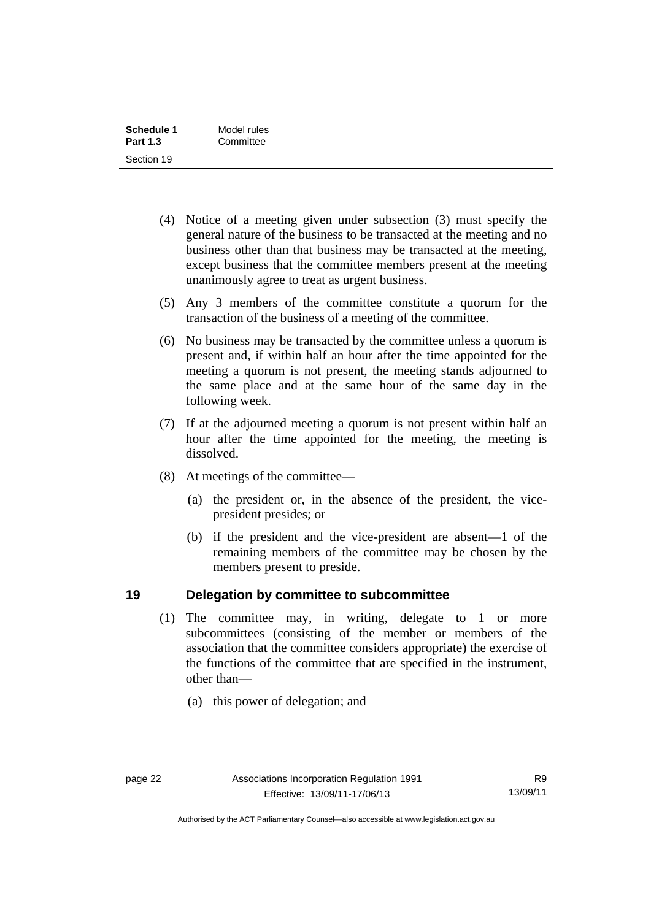| Schedule 1      | Model rules |
|-----------------|-------------|
| <b>Part 1.3</b> | Committee   |
| Section 19      |             |

- (4) Notice of a meeting given under subsection (3) must specify the general nature of the business to be transacted at the meeting and no business other than that business may be transacted at the meeting, except business that the committee members present at the meeting unanimously agree to treat as urgent business.
- (5) Any 3 members of the committee constitute a quorum for the transaction of the business of a meeting of the committee.
- (6) No business may be transacted by the committee unless a quorum is present and, if within half an hour after the time appointed for the meeting a quorum is not present, the meeting stands adjourned to the same place and at the same hour of the same day in the following week.
- (7) If at the adjourned meeting a quorum is not present within half an hour after the time appointed for the meeting, the meeting is dissolved.
- (8) At meetings of the committee—
	- (a) the president or, in the absence of the president, the vicepresident presides; or
	- (b) if the president and the vice-president are absent—1 of the remaining members of the committee may be chosen by the members present to preside.

#### <span id="page-27-0"></span>**19 Delegation by committee to subcommittee**

- (1) The committee may, in writing, delegate to 1 or more subcommittees (consisting of the member or members of the association that the committee considers appropriate) the exercise of the functions of the committee that are specified in the instrument, other than—
	- (a) this power of delegation; and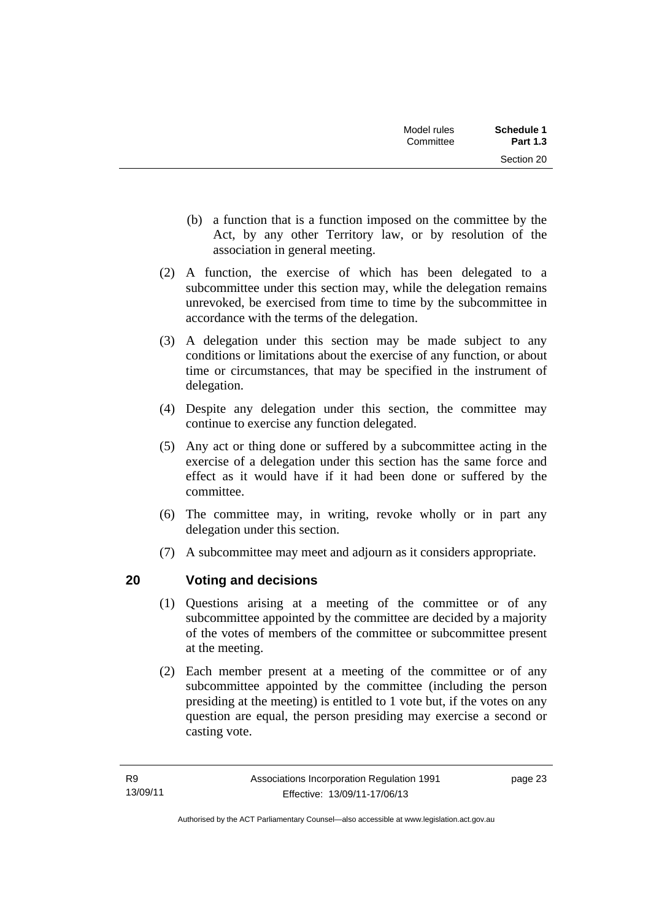| Model rules<br>Committee | <b>Schedule 1</b><br><b>Part 1.3</b> |
|--------------------------|--------------------------------------|
|                          | Section 20                           |

- (b) a function that is a function imposed on the committee by the Act, by any other Territory law, or by resolution of the association in general meeting.
- (2) A function, the exercise of which has been delegated to a subcommittee under this section may, while the delegation remains unrevoked, be exercised from time to time by the subcommittee in accordance with the terms of the delegation.
- (3) A delegation under this section may be made subject to any conditions or limitations about the exercise of any function, or about time or circumstances, that may be specified in the instrument of delegation.
- (4) Despite any delegation under this section, the committee may continue to exercise any function delegated.
- (5) Any act or thing done or suffered by a subcommittee acting in the exercise of a delegation under this section has the same force and effect as it would have if it had been done or suffered by the committee.
- (6) The committee may, in writing, revoke wholly or in part any delegation under this section.
- (7) A subcommittee may meet and adjourn as it considers appropriate.

# <span id="page-28-0"></span>**20 Voting and decisions**

- (1) Questions arising at a meeting of the committee or of any subcommittee appointed by the committee are decided by a majority of the votes of members of the committee or subcommittee present at the meeting.
- (2) Each member present at a meeting of the committee or of any subcommittee appointed by the committee (including the person presiding at the meeting) is entitled to 1 vote but, if the votes on any question are equal, the person presiding may exercise a second or casting vote.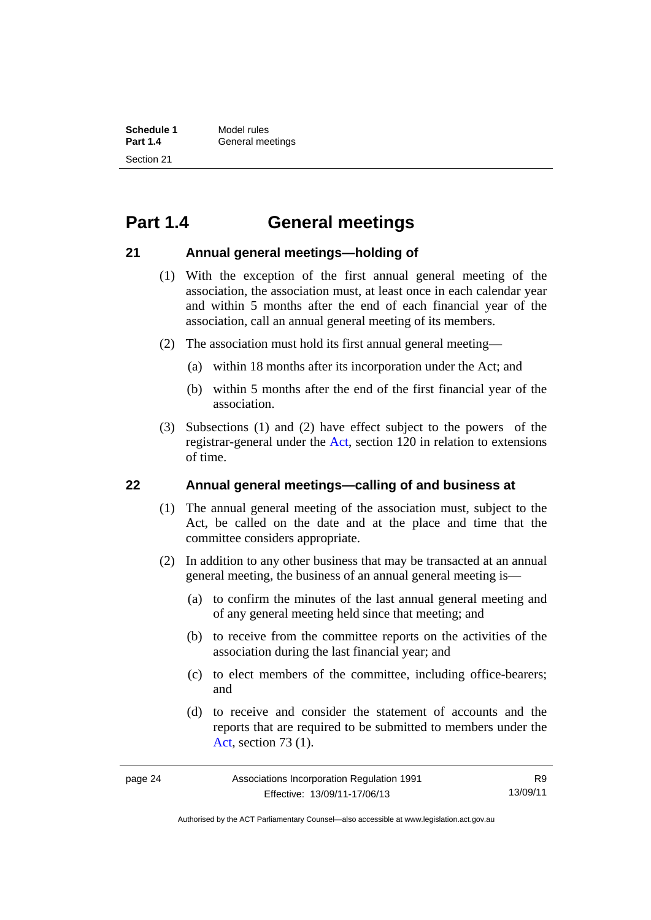**Schedule 1** Model rules<br>**Part 1.4** General me **General meetings** Section 21

# <span id="page-29-0"></span>**Part 1.4 General meetings**

### <span id="page-29-1"></span>**21 Annual general meetings—holding of**

- (1) With the exception of the first annual general meeting of the association, the association must, at least once in each calendar year and within 5 months after the end of each financial year of the association, call an annual general meeting of its members.
- (2) The association must hold its first annual general meeting—
	- (a) within 18 months after its incorporation under the Act; and
	- (b) within 5 months after the end of the first financial year of the association.
- (3) Subsections (1) and (2) have effect subject to the powers of the registrar-general under the [Act,](http://www.legislation.act.gov.au/a/1991-46/default.asp) section 120 in relation to extensions of time.

#### <span id="page-29-2"></span>**22 Annual general meetings—calling of and business at**

- (1) The annual general meeting of the association must, subject to the Act, be called on the date and at the place and time that the committee considers appropriate.
- (2) In addition to any other business that may be transacted at an annual general meeting, the business of an annual general meeting is—
	- (a) to confirm the minutes of the last annual general meeting and of any general meeting held since that meeting; and
	- (b) to receive from the committee reports on the activities of the association during the last financial year; and
	- (c) to elect members of the committee, including office-bearers; and
	- (d) to receive and consider the statement of accounts and the reports that are required to be submitted to members under the [Act](http://www.legislation.act.gov.au/a/1991-46/default.asp), section 73 (1).

R9 13/09/11

Authorised by the ACT Parliamentary Counsel—also accessible at www.legislation.act.gov.au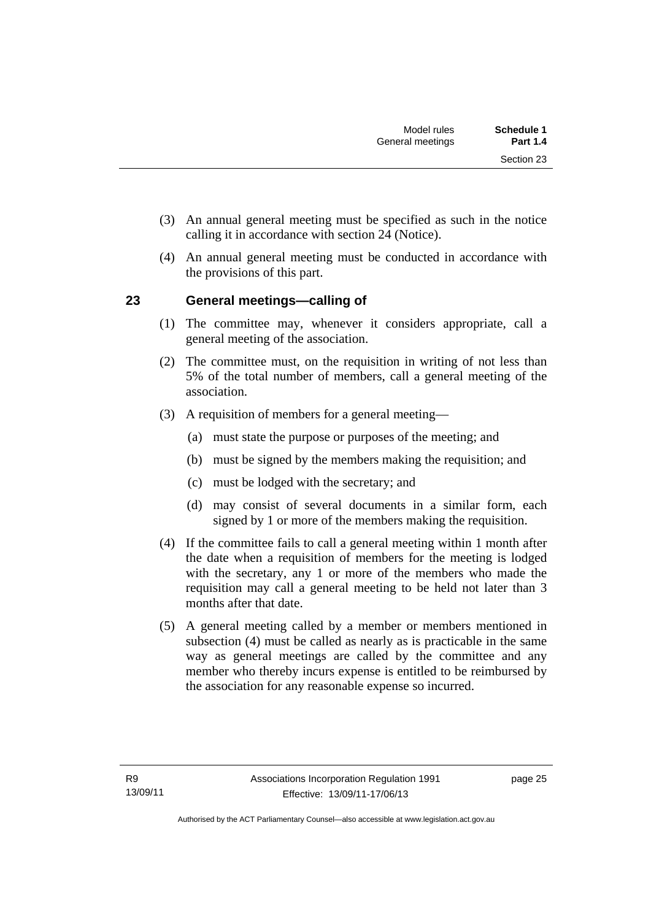- (3) An annual general meeting must be specified as such in the notice calling it in accordance with section 24 (Notice).
- (4) An annual general meeting must be conducted in accordance with the provisions of this part.

## <span id="page-30-0"></span>**23 General meetings—calling of**

- (1) The committee may, whenever it considers appropriate, call a general meeting of the association.
- (2) The committee must, on the requisition in writing of not less than 5% of the total number of members, call a general meeting of the association.
- (3) A requisition of members for a general meeting—
	- (a) must state the purpose or purposes of the meeting; and
	- (b) must be signed by the members making the requisition; and
	- (c) must be lodged with the secretary; and
	- (d) may consist of several documents in a similar form, each signed by 1 or more of the members making the requisition.
- (4) If the committee fails to call a general meeting within 1 month after the date when a requisition of members for the meeting is lodged with the secretary, any 1 or more of the members who made the requisition may call a general meeting to be held not later than 3 months after that date.
- (5) A general meeting called by a member or members mentioned in subsection (4) must be called as nearly as is practicable in the same way as general meetings are called by the committee and any member who thereby incurs expense is entitled to be reimbursed by the association for any reasonable expense so incurred.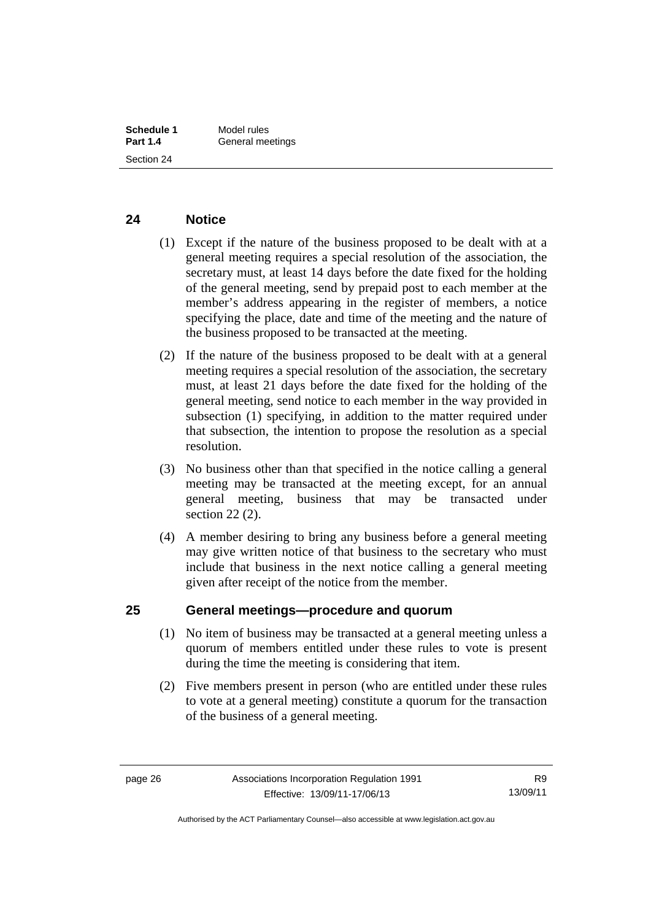#### <span id="page-31-0"></span>**24 Notice**

- (1) Except if the nature of the business proposed to be dealt with at a general meeting requires a special resolution of the association, the secretary must, at least 14 days before the date fixed for the holding of the general meeting, send by prepaid post to each member at the member's address appearing in the register of members, a notice specifying the place, date and time of the meeting and the nature of the business proposed to be transacted at the meeting.
- (2) If the nature of the business proposed to be dealt with at a general meeting requires a special resolution of the association, the secretary must, at least 21 days before the date fixed for the holding of the general meeting, send notice to each member in the way provided in subsection (1) specifying, in addition to the matter required under that subsection, the intention to propose the resolution as a special resolution.
- (3) No business other than that specified in the notice calling a general meeting may be transacted at the meeting except, for an annual general meeting, business that may be transacted under section 22 (2).
- (4) A member desiring to bring any business before a general meeting may give written notice of that business to the secretary who must include that business in the next notice calling a general meeting given after receipt of the notice from the member.

### <span id="page-31-1"></span>**25 General meetings—procedure and quorum**

- (1) No item of business may be transacted at a general meeting unless a quorum of members entitled under these rules to vote is present during the time the meeting is considering that item.
- (2) Five members present in person (who are entitled under these rules to vote at a general meeting) constitute a quorum for the transaction of the business of a general meeting.

Authorised by the ACT Parliamentary Counsel—also accessible at www.legislation.act.gov.au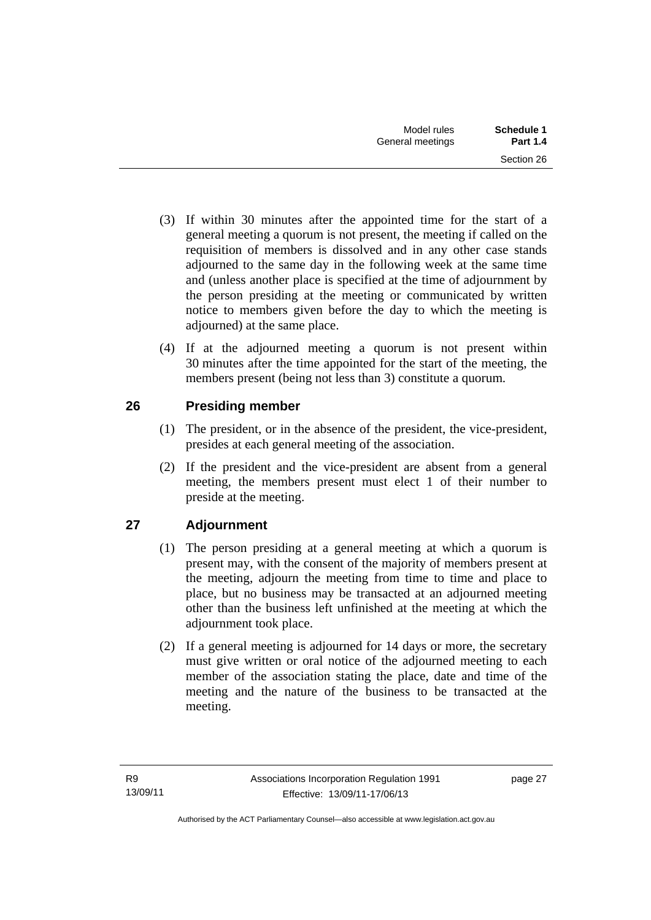- (3) If within 30 minutes after the appointed time for the start of a general meeting a quorum is not present, the meeting if called on the requisition of members is dissolved and in any other case stands adjourned to the same day in the following week at the same time and (unless another place is specified at the time of adjournment by the person presiding at the meeting or communicated by written notice to members given before the day to which the meeting is adjourned) at the same place.
- (4) If at the adjourned meeting a quorum is not present within 30 minutes after the time appointed for the start of the meeting, the members present (being not less than 3) constitute a quorum.

# <span id="page-32-0"></span>**26 Presiding member**

- (1) The president, or in the absence of the president, the vice-president, presides at each general meeting of the association.
- (2) If the president and the vice-president are absent from a general meeting, the members present must elect 1 of their number to preside at the meeting.

# <span id="page-32-1"></span>**27 Adjournment**

- (1) The person presiding at a general meeting at which a quorum is present may, with the consent of the majority of members present at the meeting, adjourn the meeting from time to time and place to place, but no business may be transacted at an adjourned meeting other than the business left unfinished at the meeting at which the adjournment took place.
- (2) If a general meeting is adjourned for 14 days or more, the secretary must give written or oral notice of the adjourned meeting to each member of the association stating the place, date and time of the meeting and the nature of the business to be transacted at the meeting.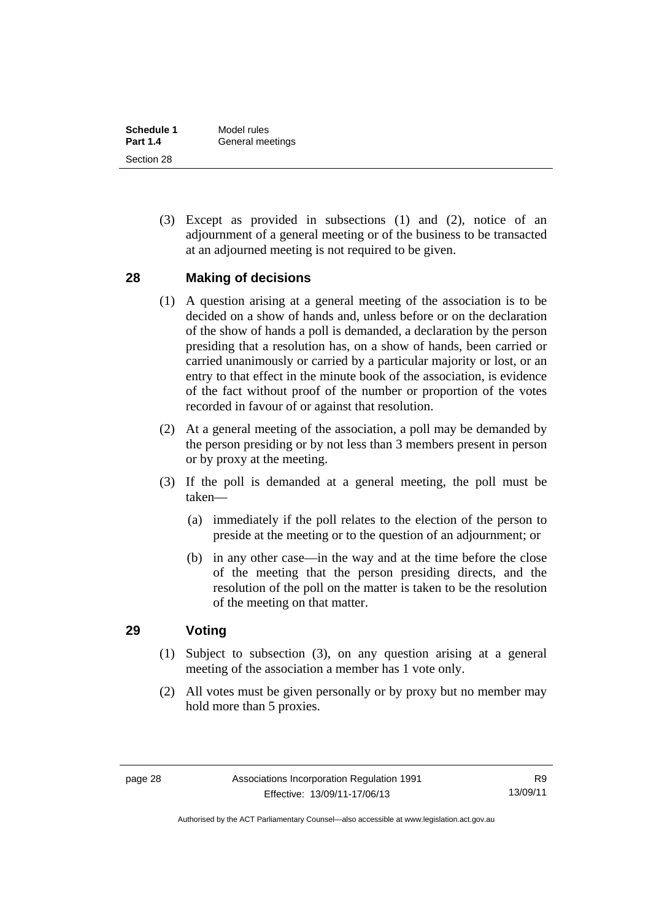| Schedule 1      | Model rules      |
|-----------------|------------------|
| <b>Part 1.4</b> | General meetings |
| Section 28      |                  |

 (3) Except as provided in subsections (1) and (2), notice of an adjournment of a general meeting or of the business to be transacted at an adjourned meeting is not required to be given.

#### <span id="page-33-0"></span>**28 Making of decisions**

- (1) A question arising at a general meeting of the association is to be decided on a show of hands and, unless before or on the declaration of the show of hands a poll is demanded, a declaration by the person presiding that a resolution has, on a show of hands, been carried or carried unanimously or carried by a particular majority or lost, or an entry to that effect in the minute book of the association, is evidence of the fact without proof of the number or proportion of the votes recorded in favour of or against that resolution.
- (2) At a general meeting of the association, a poll may be demanded by the person presiding or by not less than 3 members present in person or by proxy at the meeting.
- (3) If the poll is demanded at a general meeting, the poll must be taken—
	- (a) immediately if the poll relates to the election of the person to preside at the meeting or to the question of an adjournment; or
	- (b) in any other case—in the way and at the time before the close of the meeting that the person presiding directs, and the resolution of the poll on the matter is taken to be the resolution of the meeting on that matter.

## <span id="page-33-1"></span>**29 Voting**

- (1) Subject to subsection (3), on any question arising at a general meeting of the association a member has 1 vote only.
- (2) All votes must be given personally or by proxy but no member may hold more than 5 proxies.

Authorised by the ACT Parliamentary Counsel—also accessible at www.legislation.act.gov.au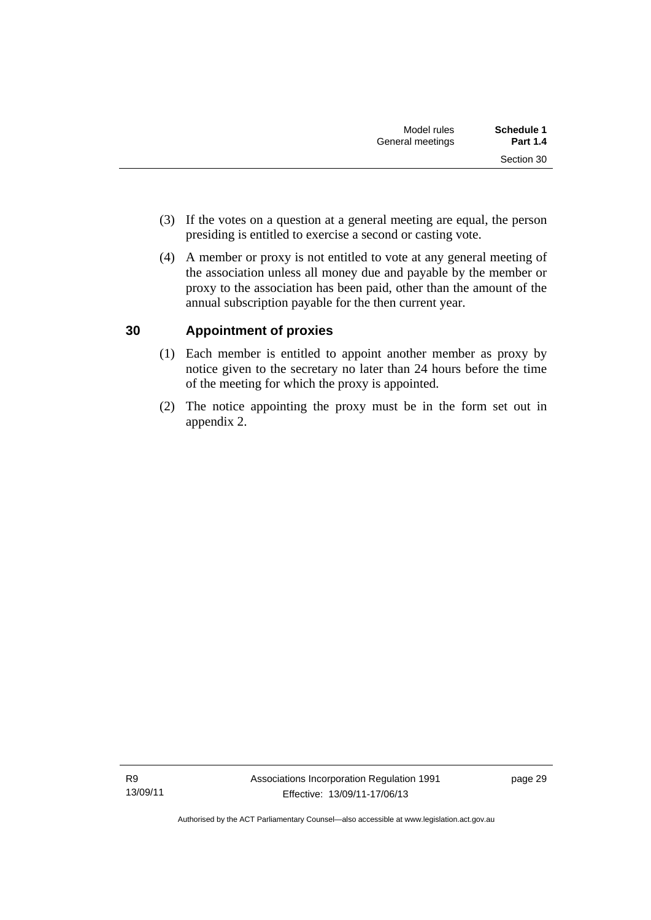- (3) If the votes on a question at a general meeting are equal, the person presiding is entitled to exercise a second or casting vote.
- (4) A member or proxy is not entitled to vote at any general meeting of the association unless all money due and payable by the member or proxy to the association has been paid, other than the amount of the annual subscription payable for the then current year.

## <span id="page-34-0"></span>**30 Appointment of proxies**

- (1) Each member is entitled to appoint another member as proxy by notice given to the secretary no later than 24 hours before the time of the meeting for which the proxy is appointed.
- (2) The notice appointing the proxy must be in the form set out in appendix 2.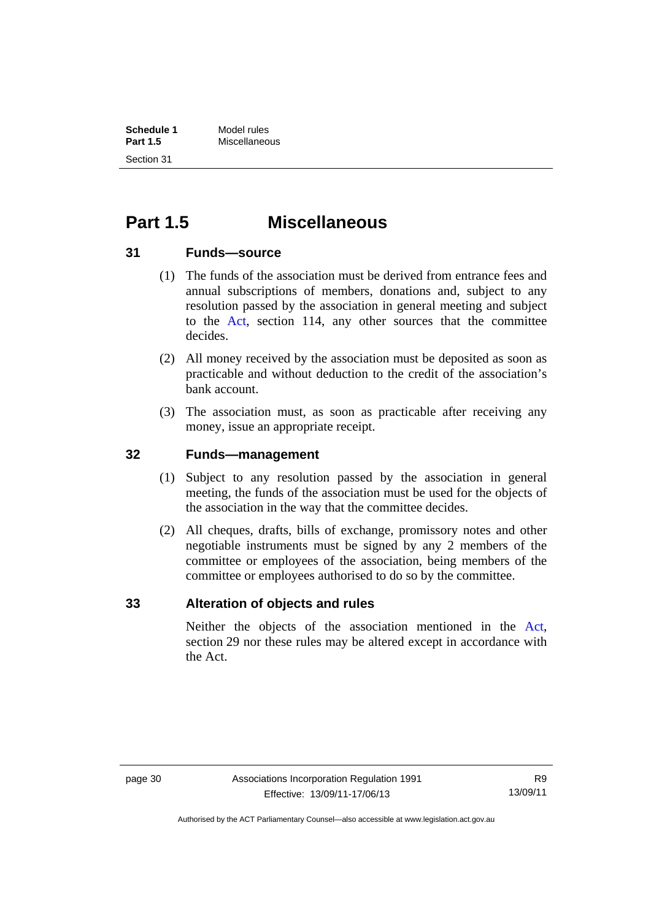# <span id="page-35-0"></span>**Part 1.5 Miscellaneous**

### <span id="page-35-1"></span>**31 Funds—source**

- (1) The funds of the association must be derived from entrance fees and annual subscriptions of members, donations and, subject to any resolution passed by the association in general meeting and subject to the [Act](http://www.legislation.act.gov.au/a/1991-46/default.asp), section 114, any other sources that the committee decides.
- (2) All money received by the association must be deposited as soon as practicable and without deduction to the credit of the association's bank account.
- (3) The association must, as soon as practicable after receiving any money, issue an appropriate receipt.

### <span id="page-35-2"></span>**32 Funds—management**

- (1) Subject to any resolution passed by the association in general meeting, the funds of the association must be used for the objects of the association in the way that the committee decides.
- (2) All cheques, drafts, bills of exchange, promissory notes and other negotiable instruments must be signed by any 2 members of the committee or employees of the association, being members of the committee or employees authorised to do so by the committee.

### <span id="page-35-3"></span>**33 Alteration of objects and rules**

Neither the objects of the association mentioned in the [Act](http://www.legislation.act.gov.au/a/1991-46/default.asp), section 29 nor these rules may be altered except in accordance with the Act.

Authorised by the ACT Parliamentary Counsel—also accessible at www.legislation.act.gov.au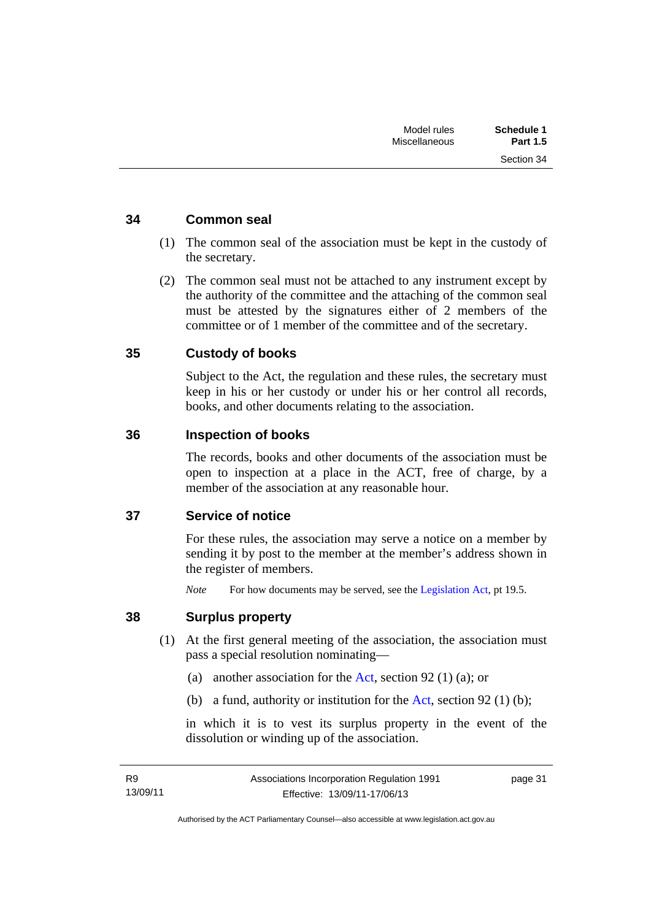Section 34

### <span id="page-36-0"></span>**34 Common seal**

- (1) The common seal of the association must be kept in the custody of the secretary.
- (2) The common seal must not be attached to any instrument except by the authority of the committee and the attaching of the common seal must be attested by the signatures either of 2 members of the committee or of 1 member of the committee and of the secretary.

### <span id="page-36-1"></span>**35 Custody of books**

Subject to the Act, the regulation and these rules, the secretary must keep in his or her custody or under his or her control all records, books, and other documents relating to the association.

#### <span id="page-36-2"></span>**36 Inspection of books**

The records, books and other documents of the association must be open to inspection at a place in the ACT, free of charge, by a member of the association at any reasonable hour.

#### <span id="page-36-3"></span>**37 Service of notice**

For these rules, the association may serve a notice on a member by sending it by post to the member at the member's address shown in the register of members.

*Note* For how documents may be served, see the [Legislation Act,](http://www.legislation.act.gov.au/a/2001-14) pt 19.5.

#### <span id="page-36-4"></span>**38 Surplus property**

- (1) At the first general meeting of the association, the association must pass a special resolution nominating—
	- (a) another association for the [Act](http://www.legislation.act.gov.au/a/1991-46/default.asp), section 92 (1) (a); or
	- (b) a fund, authority or institution for the [Act](http://www.legislation.act.gov.au/a/1991-46/default.asp), section 92 (1) (b);

in which it is to vest its surplus property in the event of the dissolution or winding up of the association.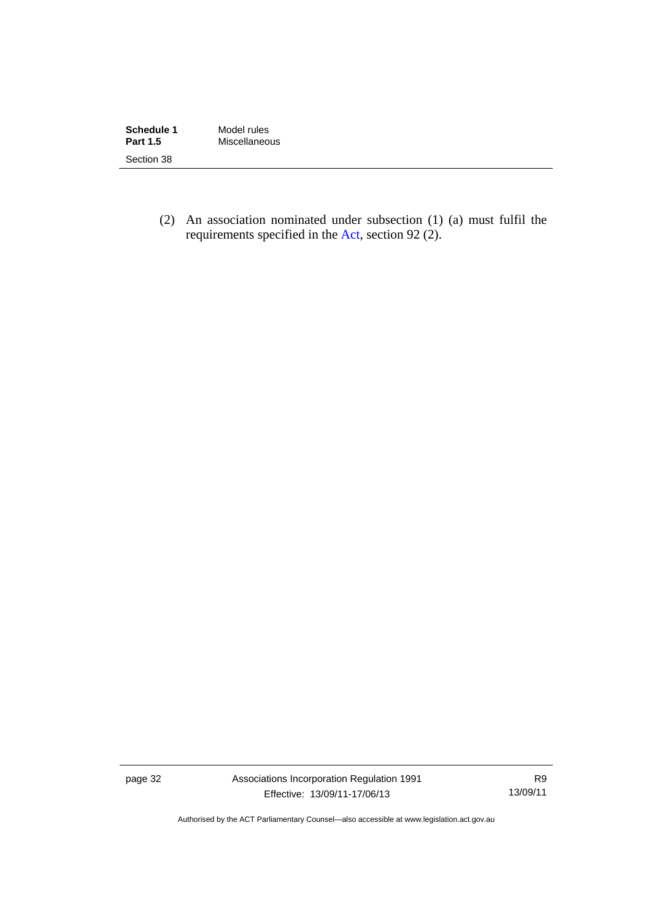| Schedule 1      | Model rules   |
|-----------------|---------------|
| <b>Part 1.5</b> | Miscellaneous |
| Section 38      |               |

 (2) An association nominated under subsection (1) (a) must fulfil the requirements specified in the [Act](http://www.legislation.act.gov.au/a/1991-46/default.asp), section 92 (2).

page 32 Associations Incorporation Regulation 1991 Effective: 13/09/11-17/06/13

R9 13/09/11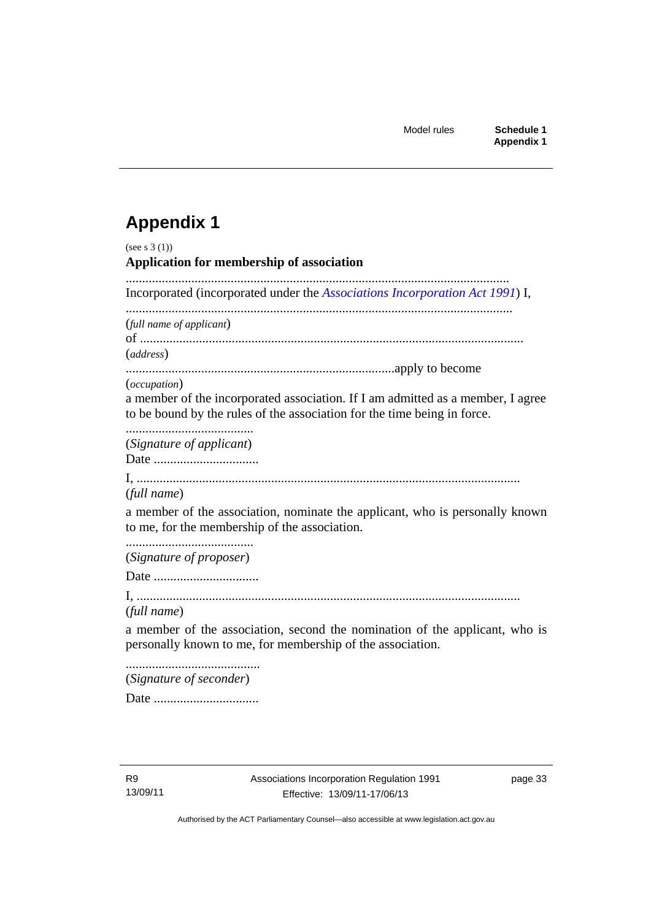# <span id="page-38-0"></span>**Appendix 1**

| (see s $3(1)$ )<br>Application for membership of association                                                                                                                         |
|--------------------------------------------------------------------------------------------------------------------------------------------------------------------------------------|
| Incorporated (incorporated under the Associations Incorporation Act 1991) I,                                                                                                         |
| (full name of applicant)<br>(address)                                                                                                                                                |
|                                                                                                                                                                                      |
| ( <i>occupation</i> )<br>a member of the incorporated association. If I am admitted as a member, I agree<br>to be bound by the rules of the association for the time being in force. |
| (Signature of applicant)                                                                                                                                                             |
| (full name)                                                                                                                                                                          |
| a member of the association, nominate the applicant, who is personally known<br>to me, for the membership of the association.                                                        |
| (Signature of proposer)                                                                                                                                                              |
|                                                                                                                                                                                      |
| (full name)                                                                                                                                                                          |
| a member of the association, second the nomination of the applicant, who is<br>personally known to me, for membership of the association.                                            |
| (Signature of seconder)                                                                                                                                                              |
|                                                                                                                                                                                      |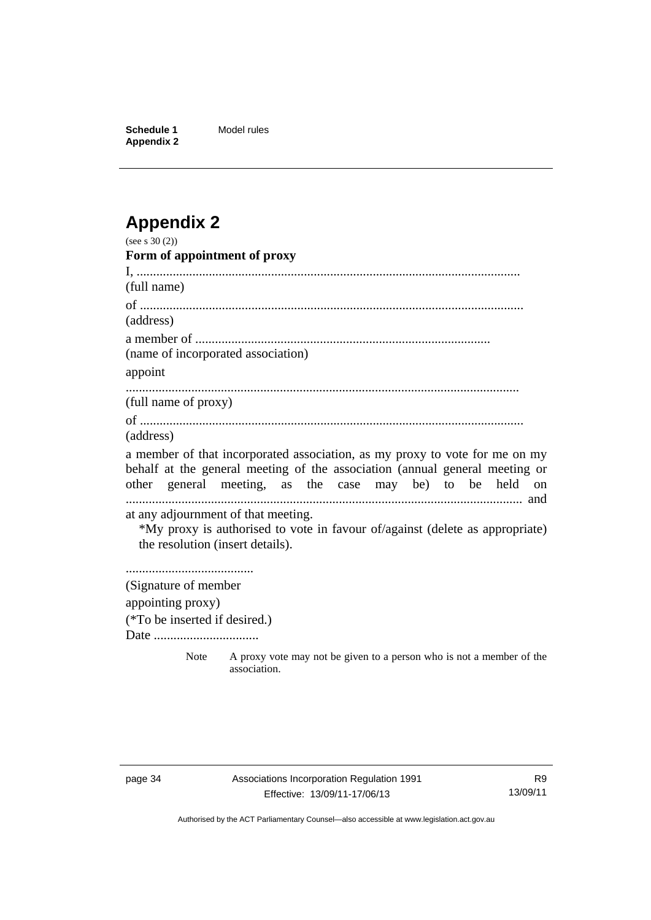**Schedule 1** Model rules **Appendix 2** 

# <span id="page-39-0"></span>**Appendix 2**

| (see s $30(2)$ )                                                        |                                                                                                                                                                                                                        |
|-------------------------------------------------------------------------|------------------------------------------------------------------------------------------------------------------------------------------------------------------------------------------------------------------------|
| Form of appointment of proxy                                            |                                                                                                                                                                                                                        |
|                                                                         |                                                                                                                                                                                                                        |
| (full name)                                                             |                                                                                                                                                                                                                        |
|                                                                         |                                                                                                                                                                                                                        |
| (address)                                                               |                                                                                                                                                                                                                        |
|                                                                         |                                                                                                                                                                                                                        |
| (name of incorporated association)                                      |                                                                                                                                                                                                                        |
| appoint                                                                 |                                                                                                                                                                                                                        |
| (full name of proxy)                                                    |                                                                                                                                                                                                                        |
|                                                                         |                                                                                                                                                                                                                        |
| (address)                                                               |                                                                                                                                                                                                                        |
|                                                                         | a member of that incorporated association, as my proxy to vote for me on my<br>behalf at the general meeting of the association (annual general meeting or<br>other general meeting, as the case may be) to be held on |
| at any adjournment of that meeting.<br>the resolution (insert details). | *My proxy is authorised to vote in favour of/against (delete as appropriate)                                                                                                                                           |
|                                                                         |                                                                                                                                                                                                                        |
| (Signature of member                                                    |                                                                                                                                                                                                                        |
| appointing proxy)                                                       |                                                                                                                                                                                                                        |
| (*To be inserted if desired.)                                           |                                                                                                                                                                                                                        |
| Date                                                                    |                                                                                                                                                                                                                        |
| <b>Note</b>                                                             | A proxy vote may not be given to a person who is not a member of the<br>association.                                                                                                                                   |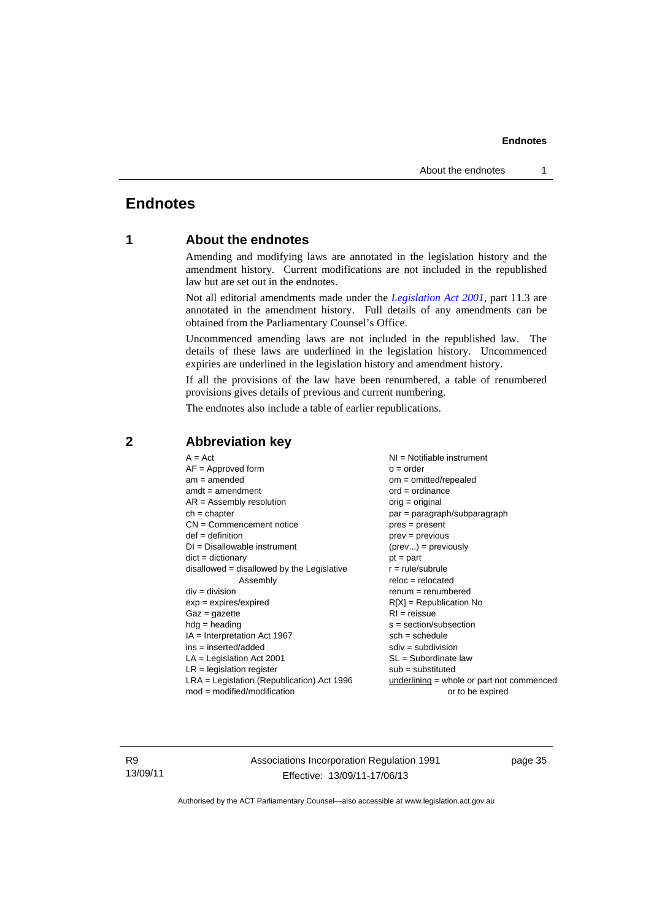### <span id="page-40-0"></span>**Endnotes**

### **1 About the endnotes**

Amending and modifying laws are annotated in the legislation history and the amendment history. Current modifications are not included in the republished law but are set out in the endnotes.

Not all editorial amendments made under the *[Legislation Act 2001](http://www.legislation.act.gov.au/a/2001-14)*, part 11.3 are annotated in the amendment history. Full details of any amendments can be obtained from the Parliamentary Counsel's Office.

Uncommenced amending laws are not included in the republished law. The details of these laws are underlined in the legislation history. Uncommenced expiries are underlined in the legislation history and amendment history.

If all the provisions of the law have been renumbered, a table of renumbered provisions gives details of previous and current numbering.

The endnotes also include a table of earlier republications.

| $A = Act$                                    | $NI =$ Notifiable instrument              |
|----------------------------------------------|-------------------------------------------|
| $AF =$ Approved form                         | $o = order$                               |
| $am = amended$                               | om = omitted/repealed                     |
| $amdt = amendment$                           | $ord = ordinance$                         |
| $AR = Assembly$ resolution                   | $orig = original$                         |
| $ch = chapter$                               | par = paragraph/subparagraph              |
| $CN =$ Commencement notice                   | $pres = present$                          |
| $def = definition$                           | $prev = previous$                         |
| $DI = Disallowable instrument$               | $(\text{prev}) = \text{previously}$       |
| $dict = dictionary$                          | $pt = part$                               |
| disallowed = disallowed by the Legislative   | $r = rule/subrule$                        |
| Assembly                                     | $reloc = relocated$                       |
| $div = division$                             | $remum = renumbered$                      |
| $exp = expires/expired$                      | $R[X]$ = Republication No                 |
| $Gaz = gazette$                              | $RI = reissue$                            |
| $hdg = heading$                              | s = section/subsection                    |
| $IA = Interpretation Act 1967$               | $sch = schedule$                          |
| $ins = inserted/added$                       | $sdiv = subdivision$                      |
| $LA =$ Legislation Act 2001                  | $SL = Subordinate$ law                    |
| $LR =$ legislation register                  | $sub =$ substituted                       |
| $LRA =$ Legislation (Republication) Act 1996 | underlining = whole or part not commenced |
| $mod = modified/modification$                | or to be expired                          |

### <span id="page-40-2"></span>**2 Abbreviation key**

R9 13/09/11 Associations Incorporation Regulation 1991 Effective: 13/09/11-17/06/13

page 35

<span id="page-40-1"></span>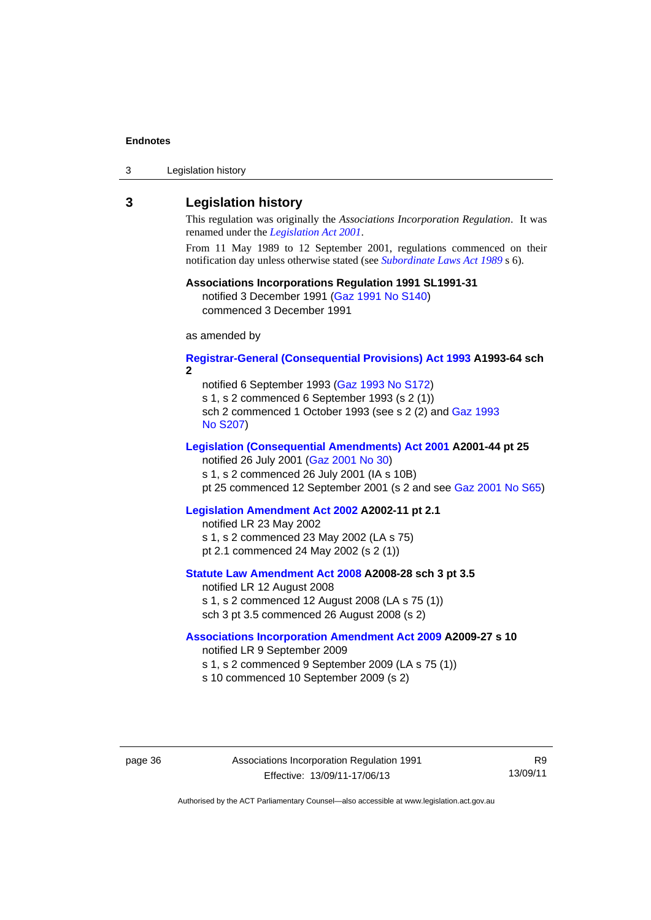| 3 | Legislation history |  |
|---|---------------------|--|
|---|---------------------|--|

#### <span id="page-41-0"></span>**3 Legislation history**

This regulation was originally the *Associations Incorporation Regulation*. It was renamed under the *[Legislation Act 2001](http://www.legislation.act.gov.au/a/2001-14)*.

From 11 May 1989 to 12 September 2001, regulations commenced on their notification day unless otherwise stated (see *[Subordinate Laws Act 1989](http://www.legislation.act.gov.au/a/alt_a1989-24co)* s 6).

### **Associations Incorporations Regulation 1991 SL1991-31**

notified 3 December 1991 ([Gaz 1991 No S140\)](http://www.legislation.act.gov.au/gaz/1991-S140/default.asp) commenced 3 December 1991

as amended by

#### **[Registrar-General \(Consequential Provisions\) Act 1993](http://www.legislation.act.gov.au/a/1993-64) A1993-64 sch 2**

notified 6 September 1993 [\(Gaz 1993 No S172\)](http://www.legislation.act.gov.au/gaz/1993-S172/default.asp) s 1, s 2 commenced 6 September 1993 (s 2 (1)) sch 2 commenced 1 October 1993 (see s 2 (2) and [Gaz 1993](http://www.legislation.act.gov.au/gaz/1993-S207/default.asp)  [No S207\)](http://www.legislation.act.gov.au/gaz/1993-S207/default.asp)

#### **[Legislation \(Consequential Amendments\) Act 2001](http://www.legislation.act.gov.au/a/2001-44) A2001-44 pt 25**

notified 26 July 2001 ([Gaz 2001 No 30\)](http://www.legislation.act.gov.au/gaz/2001-30/default.asp) s 1, s 2 commenced 26 July 2001 (IA s 10B)

pt 25 commenced 12 September 2001 (s 2 and see [Gaz 2001 No S65](http://www.legislation.act.gov.au/gaz/2001-S65/default.asp))

#### **[Legislation Amendment Act 2002](http://www.legislation.act.gov.au/a/2002-11) A2002-11 pt 2.1**

notified LR 23 May 2002 s 1, s 2 commenced 23 May 2002 (LA s 75) pt 2.1 commenced 24 May 2002 (s 2 (1))

### **[Statute Law Amendment Act 2008](http://www.legislation.act.gov.au/a/2008-28) A2008-28 sch 3 pt 3.5**  notified LR 12 August 2008

s 1, s 2 commenced 12 August 2008 (LA s 75 (1)) sch 3 pt 3.5 commenced 26 August 2008 (s 2)

#### **[Associations Incorporation Amendment Act 2009](http://www.legislation.act.gov.au/a/2009-27) A2009-27 s 10**

notified LR 9 September 2009

- s 1, s 2 commenced 9 September 2009 (LA s 75 (1))
- s 10 commenced 10 September 2009 (s 2)

R9 13/09/11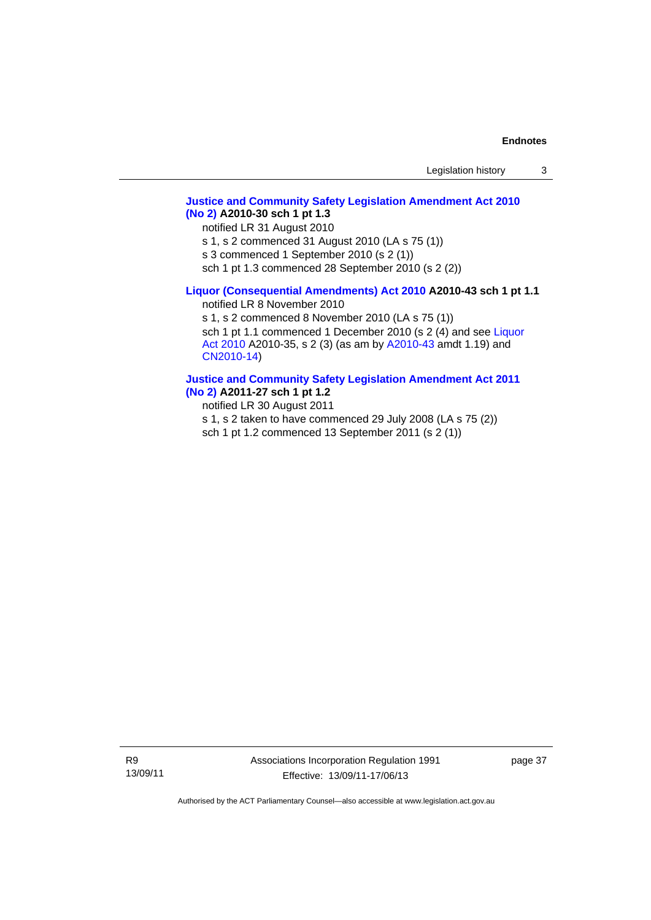#### **[Justice and Community Safety Legislation Amendment Act 2010](http://www.legislation.act.gov.au/a/2010-30)  [\(No 2\)](http://www.legislation.act.gov.au/a/2010-30) A2010-30 sch 1 pt 1.3**

notified LR 31 August 2010

s 1, s 2 commenced 31 August 2010 (LA s 75 (1))

s 3 commenced 1 September 2010 (s 2 (1))

sch 1 pt 1.3 commenced 28 September 2010 (s 2 (2))

### **[Liquor \(Consequential Amendments\) Act 2010](http://www.legislation.act.gov.au/a/2010-43) A2010-43 sch 1 pt 1.1**

notified LR 8 November 2010

s 1, s 2 commenced 8 November 2010 (LA s 75 (1)) sch 1 pt 1.1 commenced 1 December 2010 (s 2 (4) and see Liquor [Act 2010](http://www.legislation.act.gov.au/a/2010-35) A2010-35, s 2 (3) (as am by [A2010-43](http://www.legislation.act.gov.au/a/2010-43) amdt 1.19) and [CN2010-14](http://www.legislation.act.gov.au/cn/2010-14/default.asp))

#### **[Justice and Community Safety Legislation Amendment Act 2011](http://www.legislation.act.gov.au/a/2011-27)**

**[\(No 2\)](http://www.legislation.act.gov.au/a/2011-27) A2011-27 sch 1 pt 1.2** 

notified LR 30 August 2011

s 1, s 2 taken to have commenced 29 July 2008 (LA s 75 (2))

sch 1 pt 1.2 commenced 13 September 2011 (s 2 (1))

R9 13/09/11 Associations Incorporation Regulation 1991 Effective: 13/09/11-17/06/13

page 37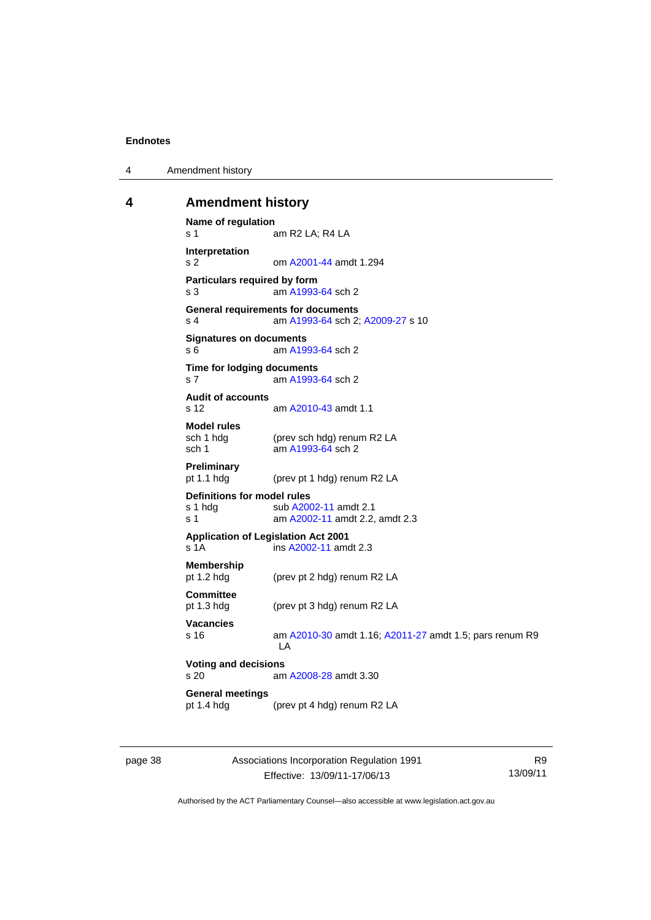4 Amendment history

#### <span id="page-43-0"></span>**4 Amendment history**

```
Name of regulation 
s 1 am R2 LA; R4 LA
Interpretation 
s 2 om A2001-44 amdt 1.294
Particulars required by form 
s 3 am A1993-64 sch 2 
General requirements for documents 
s 4 am A1993-64 sch 2; A2009-27 s 10 
Signatures on documents 
A1993-64 sch 2
Time for lodging documents 
s 7 am A1993-64 sch 2 
Audit of accounts 
s 12 am A2010-43 amdt 1.1
Model rules 
sch 1 hdg (prev sch hdg) renum R2 LA<br>sch 1 am A1993-64 sch 2
                 A1993-64 sch 2
Preliminary 
pt 1.1 hdg (prev pt 1 hdg) renum R2 LA 
Definitions for model rules<br>s 1 hdg sub A200
                A2002-11 amdt 2.1
s 1 am A2002-11 amdt 2.2, amdt 2.3 
Application of Legislation Act 2001 
s 1A ins A2002-11 amdt 2.3 
Membership 
pt 1.2 hdg (prev pt 2 hdg) renum R2 LA 
Committee 
pt 1.3 hdg (prev pt 3 hdg) renum R2 LA 
Vacancies 
s 16 am A2010-30 amdt 1.16; A2011-27 amdt 1.5; pars renum R9 
                 LA 
Voting and decisions 
                A2008-28 amdt 3.30
General meetings 
pt 1.4 hdg (prev pt 4 hdg) renum R2 LA
```
page 38 Associations Incorporation Regulation 1991 Effective: 13/09/11-17/06/13

R9 13/09/11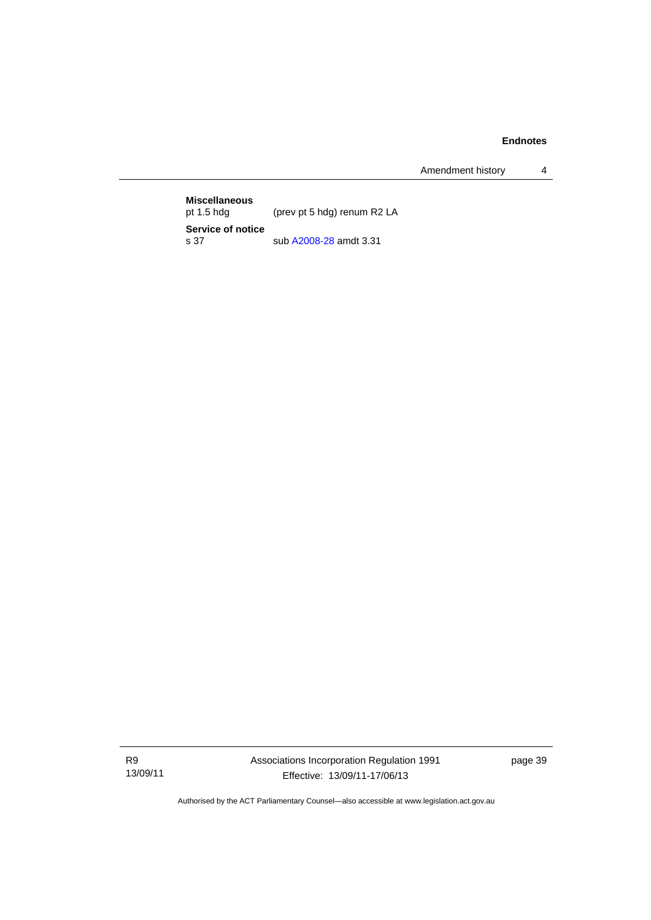Amendment history 4

**Miscellaneous**  (prev pt 5 hdg) renum R2 LA **Service of notice**  sub [A2008-28](http://www.legislation.act.gov.au/a/2008-28) amdt 3.31

R9 13/09/11 Associations Incorporation Regulation 1991 Effective: 13/09/11-17/06/13

page 39